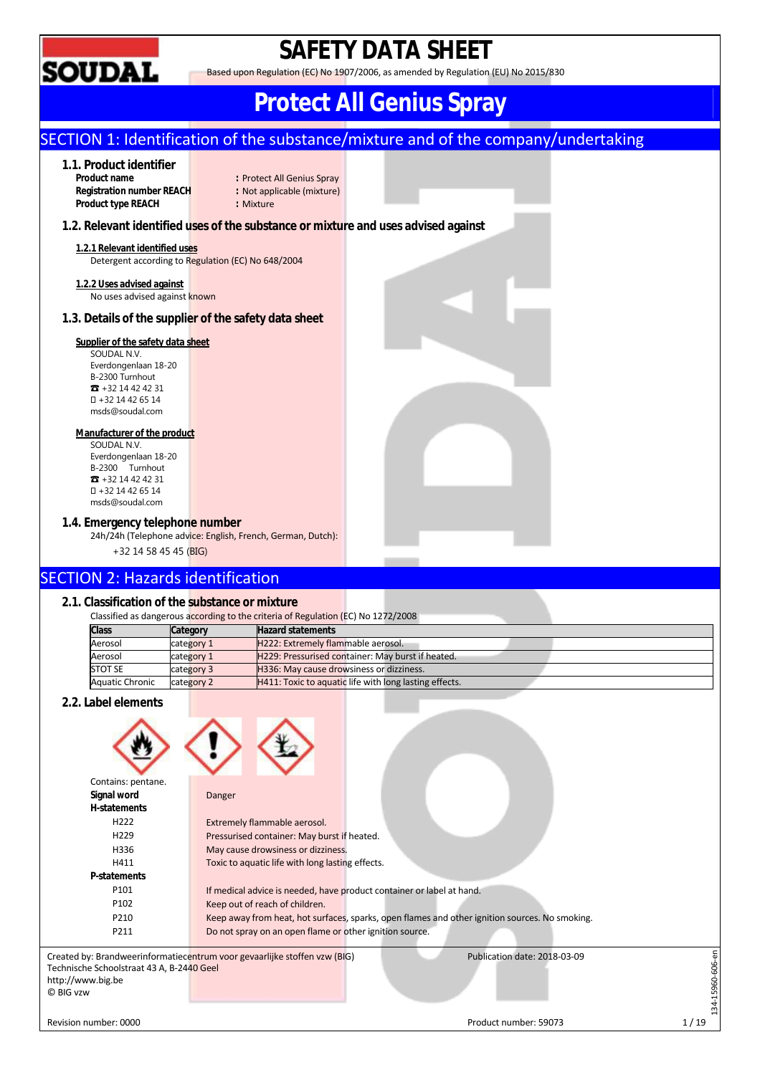

## **SAFETY DATA SHEET**

Based upon Regulation (EC) No 1907/2006, as amended by Regulation (EU) No 2015/830

## **Protect All Genius Spray**

## SECTION 1: Identification of the substance/mixture and of the company/undertaking

## **1.1. Product identifier**

**Registration number REACH :** Not applicable (mixture) **Product type REACH : Mixture** 

: Protect All Genius Spray

#### **1.2. Relevant identified uses of the substance or mixture and uses advised against**

## **1.2.1 Relevant identified uses**

Detergent according to Regulation (EC) No 648/2004

#### **1.2.2 Uses advised against**

No uses advised against known

### **1.3. Details of the supplier of the safety data sheet**

#### **Supplier of the safety data sheet**

SOUDAL N.V. Everdongenlaan 18-20 B-2300 Turnhout ☎ +32 14 42 42 31 +32 14 42 65 14 msds@soudal.com

#### **Manufacturer of the product**

SOUDAL N.V. Everdongenlaan 18-20 B-2300 Turnhout ☎ +32 14 42 42 31 +32 14 42 65 14 msds@soudal.com

#### **1.4. Emergency telephone number**

24h/24h (Telephone advice: English, French, German, Dutch): +32 14 58 45 45 (BIG)

## SECTION 2: Hazards identification

#### **2.1. Classification of the substance or mixture**

|                        | Classified as dangerous according to the criteria of Regulation (EC) No 1272/2008 |                                                               |  |  |  |
|------------------------|-----------------------------------------------------------------------------------|---------------------------------------------------------------|--|--|--|
| <b>Class</b>           | Category                                                                          | <b>Hazard statements</b>                                      |  |  |  |
| Aerosol                | category 1                                                                        | H222: Extremely flammable aerosol.                            |  |  |  |
| Aerosol                | category 1                                                                        | H229: Pressurised container: May burst if heated.             |  |  |  |
| <b>STOT SE</b>         | category 3                                                                        | H336: May cause drowsiness or dizziness.                      |  |  |  |
| <b>Aquatic Chronic</b> | category 2                                                                        | <b>H411: Toxic to aquatic life with long lasting effects.</b> |  |  |  |

#### **2.2. Label elements**



| Contains: pentane.                        |                                                                                                           |  |
|-------------------------------------------|-----------------------------------------------------------------------------------------------------------|--|
| Signal word                               | Danger                                                                                                    |  |
| H-statements                              |                                                                                                           |  |
| H <sub>222</sub>                          | Extremely flammable aerosol.                                                                              |  |
| H <sub>229</sub>                          | Pressurised container: May burst if heated.                                                               |  |
| H336                                      | May cause drowsiness or dizziness.                                                                        |  |
| H411                                      | Toxic to aquatic life with long lasting effects.                                                          |  |
| P-statements                              |                                                                                                           |  |
| P101                                      | If medical advice is needed, have product container or label at hand.                                     |  |
| P <sub>102</sub>                          | Keep out of reach of children.                                                                            |  |
| P210                                      | Keep away from heat, hot surfaces, sparks, open flames and other ignition sources. No smoking.            |  |
| P211                                      | Do not spray on an open flame or other ignition source.                                                   |  |
|                                           | Created by: Brandweerinformatiecentrum voor gevaarlijke stoffen vzw (BIG)<br>Publication date: 2018-03-09 |  |
| Technische Schoolstraat 43 A, B-2440 Geel |                                                                                                           |  |
| http://www.big.be                         |                                                                                                           |  |
| © BIG vzw                                 |                                                                                                           |  |
|                                           |                                                                                                           |  |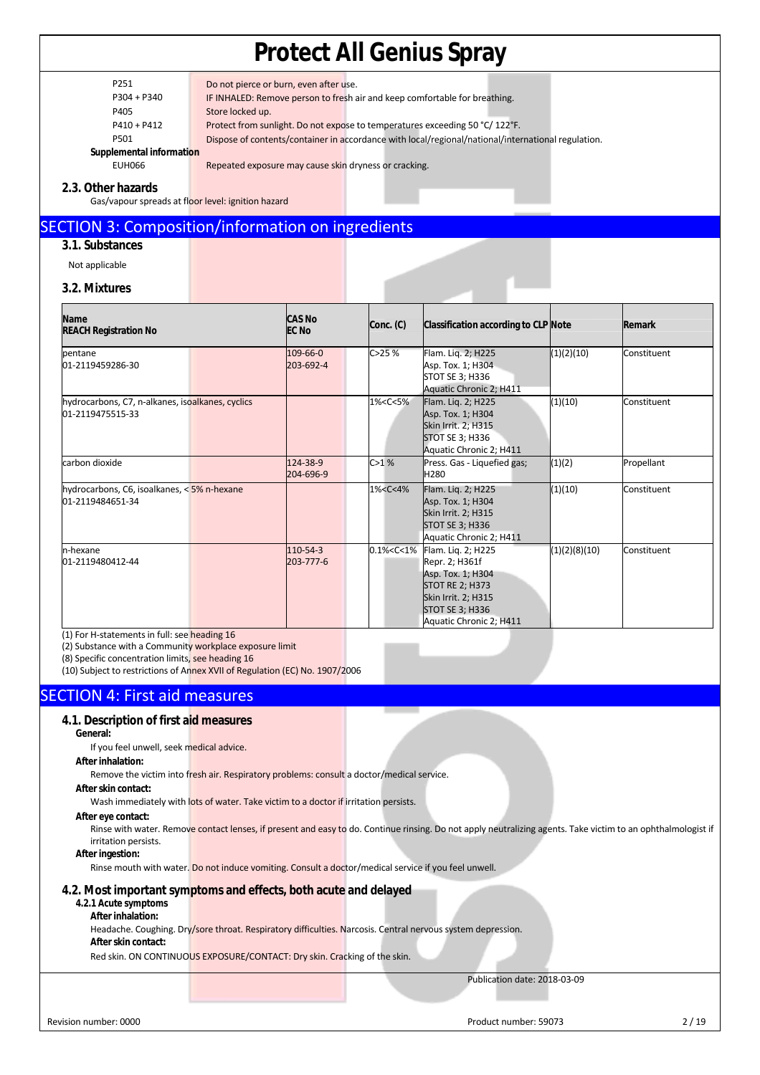| P251 | Do not pierce or burn, even after use. |
|------|----------------------------------------|
|      |                                        |

P304 + P340 IF INHALED: Remove person to fresh air and keep comfortable for breathing.

P405 Store locked up.

P410 + P412 Protect from sunlight. Do not expose to temperatures exceeding 50 °C/ 122°F.

P501 Dispose of contents/container in accordance with local/regional/national/international regulation.

**Supplemental information** 

EUH066 Repeated exposure may cause skin dryness or cracking.

#### **2.3. Other hazards**

Gas/vapour spreads at floor level: ignition hazard

### SECTION 3: Composition/information on ingredients

### **3.1. Substances**

Not applicable

#### **3.2. Mixtures**

| <b>Name</b><br><b>REACH Registration No</b>                          | <b>CAS No</b><br><b>EC No</b> | Conc. (C)                                                                                                                                                                             | Classification according to CLP Note                                                                                                                            |               | <b>Remark</b> |
|----------------------------------------------------------------------|-------------------------------|---------------------------------------------------------------------------------------------------------------------------------------------------------------------------------------|-----------------------------------------------------------------------------------------------------------------------------------------------------------------|---------------|---------------|
| pentane<br>01-2119459286-30                                          | 109-66-0<br>203-692-4         | C>25%                                                                                                                                                                                 | Flam. Lig. 2; H225<br>Asp. Tox. 1; H304<br>STOT SE 3; H336<br>Aquatic Chronic 2; H411                                                                           | (1)(2)(10)    | Constituent   |
| hydrocarbons, C7, n-alkanes, isoalkanes, cyclics<br>01-2119475515-33 |                               | 1% <c<5%< td=""><td>Flam. Lig. 2; H225<br/>Asp. Tox. 1; H304<br/>Skin Irrit. 2; H315<br/>STOT SE 3; H336<br/>Aquatic Chronic 2; H411</td><td>(1)(10)</td><td>Constituent</td></c<5%<> | Flam. Lig. 2; H225<br>Asp. Tox. 1; H304<br>Skin Irrit. 2; H315<br>STOT SE 3; H336<br>Aquatic Chronic 2; H411                                                    | (1)(10)       | Constituent   |
| carbon dioxide                                                       | 124-38-9<br>204-696-9         | C>1%                                                                                                                                                                                  | Press. Gas - Liquefied gas;<br>H <sub>280</sub>                                                                                                                 | (1)(2)        | Propellant    |
| hydrocarbons, C6, isoalkanes, < 5% n-hexane<br>01-2119484651-34      |                               | 1% <c<4%< td=""><td>Flam. Lig. 2; H225<br/>Asp. Tox. 1; H304<br/>Skin Irrit. 2; H315<br/>STOT SE 3; H336<br/>Aquatic Chronic 2; H411</td><td>(1)(10)</td><td>Constituent</td></c<4%<> | Flam. Lig. 2; H225<br>Asp. Tox. 1; H304<br>Skin Irrit. 2; H315<br>STOT SE 3; H336<br>Aquatic Chronic 2; H411                                                    | (1)(10)       | Constituent   |
| n-hexane<br>01-2119480412-44                                         | 110-54-3<br>203-777-6         | 0.1% < C < 1%                                                                                                                                                                         | Flam. Lig. 2; H225<br>Repr. 2; H361f<br>Asp. Tox. 1; H304<br><b>STOT RE 2; H373</b><br>Skin Irrit. 2; H315<br><b>STOT SE 3; H336</b><br>Aquatic Chronic 2; H411 | (1)(2)(8)(10) | Constituent   |

(1) For H-statements in full: see heading 16

(2) Substance with a Community workplace exposure limit

(8) Specific concentration limits, see heading 16

(10) Subject to restrictions of Annex XVII of Regulation (EC) No. 1907/2006

## SECTION 4: First aid measures

#### **4.1. Description of first aid measures**

**General:** 

If you feel unwell, seek medical advice.

#### **After inhalation:**

Remove the victim into fresh air. Respiratory problems: consult a doctor/medical service.

#### **After skin contact:**

Wash immediately with lots of water. Take victim to a doctor if irritation persists.

#### **After eye contact:**

Rinse with water. Remove contact lenses, if present and easy to do. Continue rinsing. Do not apply neutralizing agents. Take victim to an ophthalmologist if irritation persists.

#### **After ingestion:**

Rinse mouth with water. Do not induce vomiting. Consult a doctor/medical service if you feel unwell.

#### **4.2. Most important symptoms and effects, both acute and delayed**

#### **4.2.1 Acute symptoms After inhalation:**

Headache. Coughing. Dry/sore throat. Respiratory difficulties. Narcosis. Central nervous system depression.

#### **After skin contact:**

Red skin. ON CONTINUOUS EXPOSURE/CONTACT: Dry skin. Cracking of the skin.

Publication date: 2018-03-09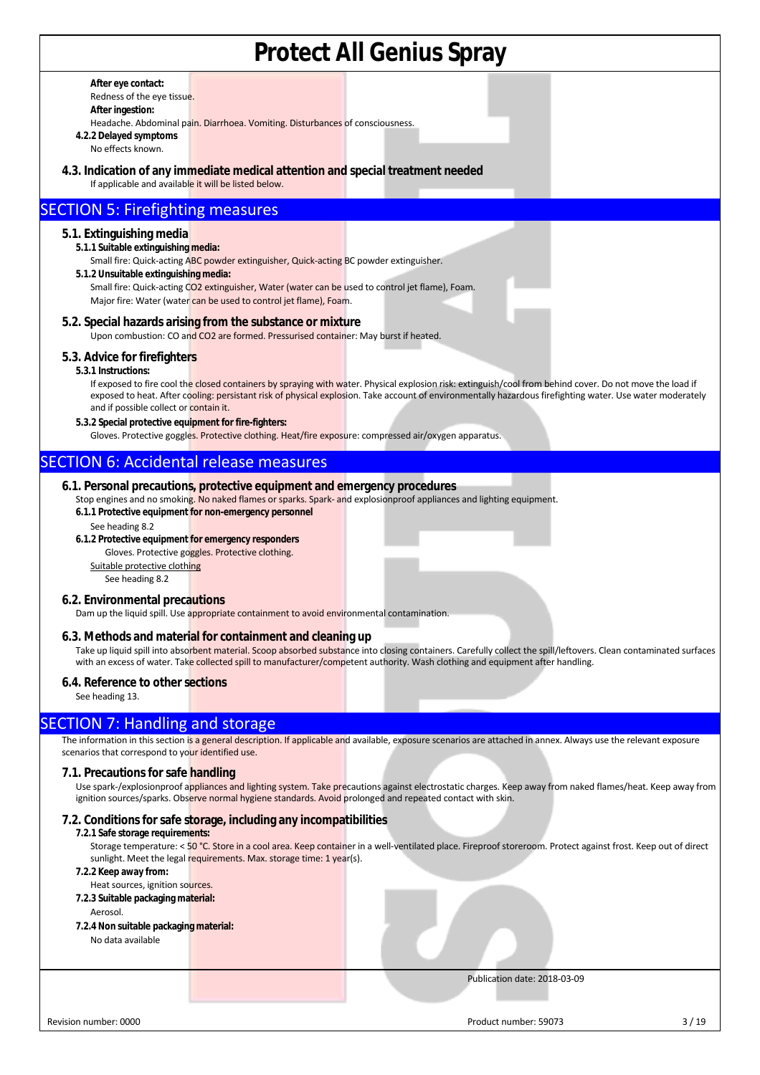**After eye contact:**  Redness of the eye tissue.

**After ingestion:** 

Headache. Abdominal pain. Diarrhoea. Vomiting. Disturbances of consciousness.

**4.2.2 Delayed symptoms**  No effects known.

**4.3. Indication of any immediate medical attention and special treatment needed**

If applicable and available it will be listed below.

### SECTION 5: Firefighting measures

#### **5.1. Extinguishing media**

**5.1.1 Suitable extinguishing media:** 

Small fire: Quick-acting ABC powder extinguisher, Quick-acting BC powder extinguisher.

**5.1.2 Unsuitable extinguishing media:**

Small fire: Quick-acting CO2 extinguisher, Water (water can be used to control jet flame), Foam. Major fire: Water (water can be used to control jet flame), Foam.

**5.2. Special hazards arising from the substance or mixture**

Upon combustion: CO and CO2 are formed. Pressurised container: May burst if heated.

#### **5.3. Advice for firefighters**

**5.3.1 Instructions:** 

If exposed to fire cool the closed containers by spraying with water. Physical explosion risk: extinguish/cool from behind cover. Do not move the load if exposed to heat. After cooling: persistant risk of physical explosion. Take account of environmentally hazardous firefighting water. Use water moderately and if possible collect or contain it.

**5.3.2 Special protective equipment for fire-fighters:** 

Gloves. Protective goggles. Protective clothing. Heat/fire exposure: compressed air/oxygen apparatus.

## SECTION 6: Accidental release measures

#### **6.1. Personal precautions, protective equipment and emergency procedures**

Stop engines and no smoking. No naked flames or sparks. Spark- and explosionproof appliances and lighting equipment.

- **6.1.1 Protective equipment for non-emergency personnel**
- See heading 8.2
- **6.1.2 Protective equipment for emergency responders**

Gloves. Protective goggles. Protective clothing.

Suitable protective clothing See heading 8.2

#### **6.2. Environmental precautions**

Dam up the liquid spill. Use appropriate containment to avoid environmental contamination.

#### **6.3. Methods and material for containment and cleaning up**

Take up liquid spill into absorbent material. Scoop absorbed substance into closing containers. Carefully collect the spill/leftovers. Clean contaminated surfaces with an excess of water. Take collected spill to manufacturer/competent authority. Wash clothing and equipment after handling.

#### **6.4. Reference to other sections**

See heading 13.

#### SECTION 7: Handling and storage

The information in this section is a general description. If applicable and available, exposure scenarios are attached in annex. Always use the relevant exposure scenarios that correspond to your identified use.

#### **7.1. Precautions for safe handling**

Use spark-/explosionproof appliances and lighting system. Take precautions against electrostatic charges. Keep away from naked flames/heat. Keep away from ignition sources/sparks. Observe normal hygiene standards. Avoid prolonged and repeated contact with skin.

#### **7.2. Conditions for safe storage, including any incompatibilities**

#### **7.2.1 Safe storage requirements:**

Storage temperature: < 50 °C. Store in a cool area. Keep container in a well-ventilated place. Fireproof storeroom. Protect against frost. Keep out of direct sunlight. Meet the legal requirements. Max. storage time: 1 year(s).

#### **7.2.2 Keep away from:**

- Heat sources, ignition sources.
- **7.2.3 Suitable packaging material:**  Aerosol.
- **7.2.4 Non suitable packaging material:**

No data available

Publication date: 2018-03-09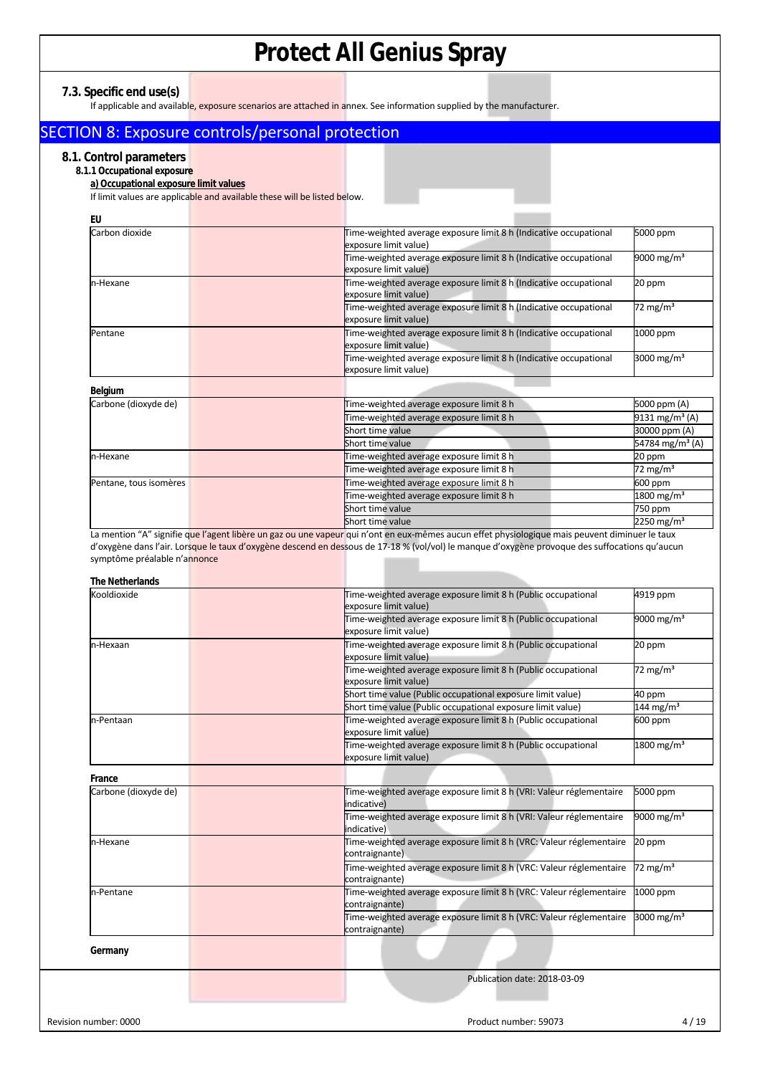**7.3. Specific end use(s)** 

If applicable and available, exposure scenarios are attached in annex. See information supplied by the manufacturer.

## SECTION 8: Exposure controls/personal protection

### **8.1. Control parameters**

**8.1.1 Occupational exposure** 

**a) Occupational exposure limit values** 

If limit values are applicable and available these will be listed below.

| EU                     |                                                                                            |                             |
|------------------------|--------------------------------------------------------------------------------------------|-----------------------------|
| Carbon dioxide         | Time-weighted average exposure limit 8 h (Indicative occupational<br>exposure limit value) | 5000 ppm                    |
|                        | Time-weighted average exposure limit 8 h (Indicative occupational<br>exposure limit value) | 9000 mg/m <sup>3</sup>      |
| n-Hexane               | Time-weighted average exposure limit 8 h (Indicative occupational<br>exposure limit value) | 20 ppm                      |
|                        | Time-weighted average exposure limit 8 h (Indicative occupational<br>exposure limit value) | 72 mg/m <sup>3</sup>        |
| Pentane                | Time-weighted average exposure limit 8 h (Indicative occupational<br>exposure limit value) | 1000 ppm                    |
|                        | Time-weighted average exposure limit 8 h (Indicative occupational<br>exposure limit value) | 3000 mg/m <sup>3</sup>      |
| Belgium                |                                                                                            |                             |
| Carbone (dioxyde de)   | Time-weighted average exposure limit 8 h                                                   | 5000 ppm (A)                |
|                        | Time-weighted average exposure limit 8 h                                                   | 9131 mg/m <sup>3</sup> (A)  |
|                        | Short time value                                                                           | 30000 ppm (A)               |
|                        | Short time value                                                                           | 54784 mg/m <sup>3</sup> (A) |
| n-Hexane               | Time-weighted average exposure limit 8 h                                                   | 20 ppm                      |
|                        | Time-weighted average exposure limit 8 h                                                   | 72 mg/m <sup>3</sup>        |
| Pentane, tous isomères | Time-weighted average exposure limit 8 h                                                   | 600 ppm                     |
|                        | Time-weighted average exposure limit 8 h                                                   | 1800 mg/m <sup>3</sup>      |
|                        | Short time value                                                                           | 750 ppm                     |
|                        | Short time value                                                                           | 2250 mg/m <sup>3</sup>      |

La mention "A" signifie que l'agent libère un gaz ou une vapeur qui n'ont en eux-mêmes aucun effet physiologique mais peuvent diminuer le taux d'oxygène dans l'air. Lorsque le taux d'oxygène descend en dessous de 17-18 % (vol/vol) le manque d'oxygène provoque des suffocations qu'aucun symptôme préalable n'annonce

| <b>The Netherlands</b> |                                                                                        |                          |
|------------------------|----------------------------------------------------------------------------------------|--------------------------|
| Kooldioxide            | Time-weighted average exposure limit 8 h (Public occupational<br>exposure limit value) | 4919 ppm                 |
|                        | Time-weighted average exposure limit 8 h (Public occupational<br>exposure limit value) | 9000 mg/m <sup>3</sup>   |
| n-Hexaan               | Time-weighted average exposure limit 8 h (Public occupational<br>exposure limit value) | 20 ppm                   |
|                        | Time-weighted average exposure limit 8 h (Public occupational<br>exposure limit value) | 72 mg/m <sup>3</sup>     |
|                        | Short time value (Public occupational exposure limit value)                            | 40 ppm                   |
|                        | Short time value (Public occupational exposure limit value)                            | 144 mg/m <sup>3</sup>    |
| n-Pentaan              | Time-weighted average exposure limit 8 h (Public occupational<br>exposure limit value) | 600 ppm                  |
|                        | Time-weighted average exposure limit 8 h (Public occupational<br>exposure limit value) | $1800$ mg/m <sup>3</sup> |
| France                 |                                                                                        |                          |
| Carbone (dioxyde de)   | Time-weighted average exposure limit 8 h (VRI: Valeur réglementaire<br>indicative)     | 5000 ppm                 |
|                        | Time-weighted average exposure limit 8 h (VRI: Valeur réglementaire<br>indicative)     | 9000 mg/m <sup>3</sup>   |
| n-Hexane               | Time-weighted average exposure limit 8 h (VRC: Valeur réglementaire<br>contraignante)  | 20 ppm                   |
|                        | Time-weighted average exposure limit 8 h (VRC: Valeur réglementaire<br>contraignante)  | $72 \text{ mg/m}^3$      |
| n-Pentane              | Time-weighted average exposure limit 8 h (VRC: Valeur réglementaire<br>contraignante)  | 1000 ppm                 |
|                        | Time-weighted average exposure limit 8 h (VRC: Valeur réglementaire<br>contraignante)  | 3000 mg/ $m3$            |
| Germany                |                                                                                        |                          |
|                        | Publication date: 2018-03-09                                                           |                          |
|                        |                                                                                        |                          |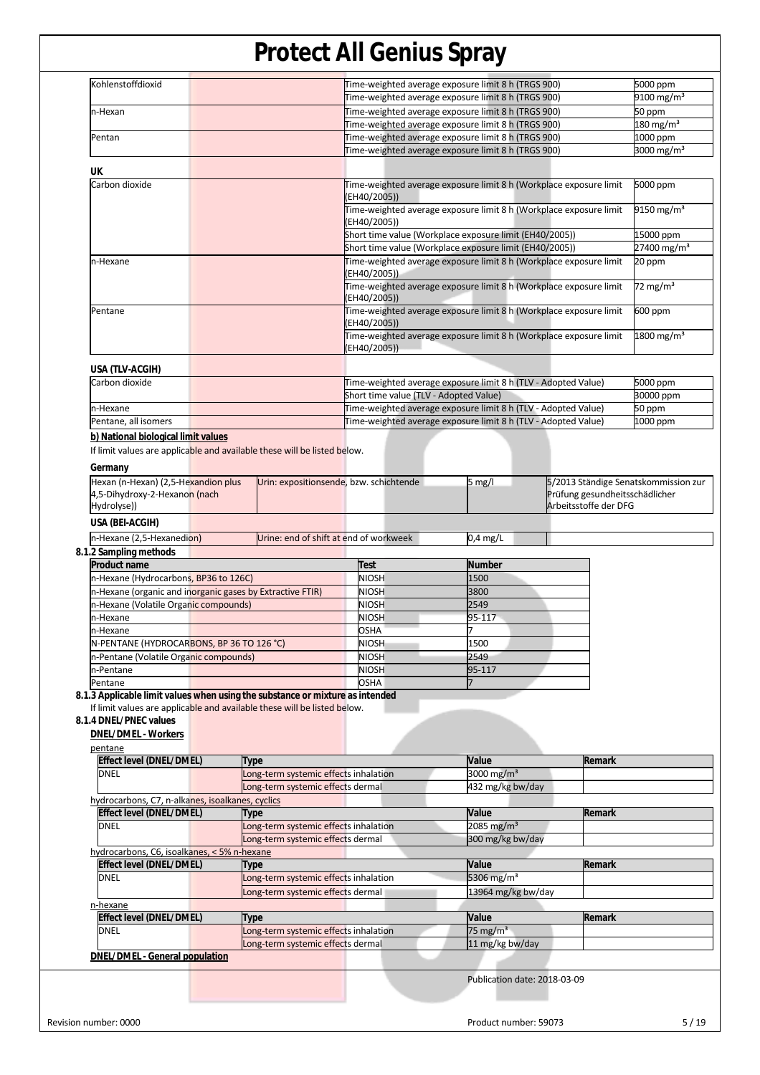|                                                                                                                                             |                                        |                                                     | J                                                                  |                       |                         |
|---------------------------------------------------------------------------------------------------------------------------------------------|----------------------------------------|-----------------------------------------------------|--------------------------------------------------------------------|-----------------------|-------------------------|
| Kohlenstoffdioxid                                                                                                                           |                                        |                                                     | Time-weighted average exposure limit 8 h (TRGS 900)                |                       | 5000 ppm                |
|                                                                                                                                             |                                        |                                                     | Time-weighted average exposure limit 8 h (TRGS 900)                |                       | 9100 mg/m <sup>3</sup>  |
| n-Hexan                                                                                                                                     |                                        |                                                     | Time-weighted average exposure limit 8 h (TRGS 900)                |                       | 50 ppm                  |
|                                                                                                                                             |                                        | Time-weighted average exposure limit 8 h (TRGS 900) |                                                                    |                       | $180 \text{ mg/m}^3$    |
| Pentan                                                                                                                                      |                                        |                                                     | Time-weighted average exposure limit 8 h (TRGS 900)                |                       | 1000 ppm                |
|                                                                                                                                             |                                        |                                                     | Time-weighted average exposure limit 8 h (TRGS 900)                |                       | 3000 mg/m <sup>3</sup>  |
| UK                                                                                                                                          |                                        |                                                     |                                                                    |                       |                         |
| Carbon dioxide                                                                                                                              |                                        |                                                     | Time-weighted average exposure limit 8 h (Workplace exposure limit |                       | 5000 ppm                |
|                                                                                                                                             |                                        | (EH40/2005))                                        |                                                                    |                       |                         |
|                                                                                                                                             |                                        |                                                     | Time-weighted average exposure limit 8 h (Workplace exposure limit |                       | 9150 mg/m <sup>3</sup>  |
|                                                                                                                                             |                                        | (EH40/2005))                                        |                                                                    |                       |                         |
|                                                                                                                                             |                                        |                                                     | Short time value (Workplace exposure limit (EH40/2005))            |                       | 15000 ppm               |
|                                                                                                                                             |                                        |                                                     | Short time value (Workplace exposure limit (EH40/2005))            |                       | 27400 mg/m <sup>3</sup> |
| n-Hexane                                                                                                                                    |                                        |                                                     | Time-weighted average exposure limit 8 h (Workplace exposure limit |                       | 20 ppm                  |
|                                                                                                                                             |                                        | (EH40/2005))                                        |                                                                    |                       |                         |
|                                                                                                                                             |                                        |                                                     | Time-weighted average exposure limit 8 h (Workplace exposure limit |                       | 72 mg/m <sup>3</sup>    |
|                                                                                                                                             |                                        | (EH40/2005))                                        |                                                                    |                       |                         |
| Pentane                                                                                                                                     |                                        |                                                     | Time-weighted average exposure limit 8 h (Workplace exposure limit |                       | 600 ppm                 |
|                                                                                                                                             |                                        | (EH40/2005))                                        |                                                                    |                       |                         |
|                                                                                                                                             |                                        |                                                     | Time-weighted average exposure limit 8 h (Workplace exposure limit |                       | 1800 mg/m <sup>3</sup>  |
|                                                                                                                                             |                                        | (EH40/2005))                                        |                                                                    |                       |                         |
| USA (TLV-ACGIH)                                                                                                                             |                                        |                                                     |                                                                    |                       |                         |
| Carbon dioxide                                                                                                                              |                                        |                                                     | Time-weighted average exposure limit 8 h (TLV - Adopted Value)     |                       | 5000 ppm                |
|                                                                                                                                             |                                        | Short time value (TLV - Adopted Value)              |                                                                    |                       | 30000 ppm               |
| n-Hexane                                                                                                                                    |                                        |                                                     | Time-weighted average exposure limit 8 h (TLV - Adopted Value)     |                       | 50 ppm                  |
| Pentane, all isomers                                                                                                                        |                                        |                                                     | Time-weighted average exposure limit 8 h (TLV - Adopted Value)     |                       | 1000 ppm                |
| b) National biological limit values                                                                                                         |                                        |                                                     |                                                                    |                       |                         |
| If limit values are applicable and available these will be listed below.                                                                    |                                        |                                                     |                                                                    |                       |                         |
| Hydrolyse))                                                                                                                                 |                                        |                                                     |                                                                    | Arbeitsstoffe der DFG |                         |
| USA (BEI-ACGIH)                                                                                                                             |                                        |                                                     |                                                                    |                       |                         |
| n-Hexane (2,5-Hexanedion)                                                                                                                   | Urine: end of shift at end of workweek |                                                     | $0,4$ mg/L                                                         |                       |                         |
| 8.1.2 Sampling methods                                                                                                                      |                                        |                                                     |                                                                    |                       |                         |
| <b>Product name</b>                                                                                                                         |                                        | Test                                                | <b>Number</b>                                                      |                       |                         |
| n-Hexane (Hydrocarbons, BP36 to 126C)                                                                                                       |                                        | <b>NIOSH</b>                                        | 1500                                                               |                       |                         |
| n-Hexane (organic and inorganic gases by Extractive FTIR)                                                                                   |                                        | <b>NIOSH</b>                                        | 3800                                                               |                       |                         |
| n-Hexane (Volatile Organic compounds)                                                                                                       |                                        | <b>NIOSH</b>                                        | 2549                                                               |                       |                         |
| n-Hexane                                                                                                                                    |                                        | <b>NIOSH</b>                                        | 95-117                                                             |                       |                         |
| n-Hexane                                                                                                                                    |                                        | <b>OSHA</b>                                         | 7                                                                  |                       |                         |
| N-PENTANE (HYDROCARBONS, BP 36 TO 126 °C)                                                                                                   |                                        | <b>NIOSH</b>                                        | 1500                                                               |                       |                         |
| n-Pentane (Volatile Organic compounds)                                                                                                      |                                        | <b>NIOSH</b>                                        | 2549                                                               |                       |                         |
| n-Pentane                                                                                                                                   |                                        | <b>NIOSH</b>                                        | 95-117                                                             |                       |                         |
| Pentane                                                                                                                                     |                                        | <b>OSHA</b>                                         | 7                                                                  |                       |                         |
| 8.1.3 Applicable limit values when using the substance or mixture as intended                                                               |                                        |                                                     |                                                                    |                       |                         |
| If limit values are applicable and available these will be listed below.<br>8.1.4 DNEL/PNEC values<br><b>DNEL/DMEL - Workers</b><br>pentane |                                        |                                                     |                                                                    |                       |                         |
| <b>Effect level (DNEL/DMEL)</b>                                                                                                             | Type                                   |                                                     | Value                                                              | Remark                |                         |
| <b>DNEL</b>                                                                                                                                 | Long-term systemic effects inhalation  |                                                     | 3000 mg/m <sup>3</sup>                                             |                       |                         |
|                                                                                                                                             | Long-term systemic effects dermal      |                                                     | 432 mg/kg bw/day                                                   |                       |                         |
| hydrocarbons, C7, n-alkanes, isoalkanes, cyclics                                                                                            |                                        |                                                     |                                                                    |                       |                         |
| <b>Effect level (DNEL/DMEL)</b>                                                                                                             | Type                                   |                                                     | Value                                                              | Remark                |                         |
| <b>DNEL</b>                                                                                                                                 | Long-term systemic effects inhalation  |                                                     | 2085 mg/m <sup>3</sup>                                             |                       |                         |
|                                                                                                                                             | Long-term systemic effects dermal      |                                                     | 300 mg/kg bw/day                                                   |                       |                         |
| hydrocarbons, C6, isoalkanes, < 5% n-hexane                                                                                                 |                                        |                                                     |                                                                    |                       |                         |
| <b>Effect level (DNEL/DMEL)</b>                                                                                                             | Type                                   |                                                     | Value                                                              | Remark                |                         |
| <b>DNEL</b>                                                                                                                                 |                                        |                                                     | 5306 mg/m <sup>3</sup>                                             |                       |                         |
|                                                                                                                                             |                                        |                                                     |                                                                    |                       |                         |
|                                                                                                                                             | Long-term systemic effects inhalation  |                                                     |                                                                    |                       |                         |
|                                                                                                                                             | Long-term systemic effects dermal      |                                                     | 13964 mg/kg bw/day                                                 |                       |                         |
|                                                                                                                                             |                                        |                                                     | Value                                                              | Remark                |                         |
| n-hexane<br><b>Effect level (DNEL/DMEL)</b><br><b>DNEL</b>                                                                                  | Type                                   |                                                     |                                                                    |                       |                         |
|                                                                                                                                             | Long-term systemic effects inhalation  |                                                     | 75 mg/m $3$                                                        |                       |                         |
|                                                                                                                                             | Long-term systemic effects dermal      |                                                     | 11 mg/kg bw/day                                                    |                       |                         |
| <b>DNEL/DMEL - General population</b>                                                                                                       |                                        |                                                     |                                                                    |                       |                         |
|                                                                                                                                             |                                        |                                                     | Publication date: 2018-03-09                                       |                       |                         |
|                                                                                                                                             |                                        |                                                     |                                                                    |                       |                         |
|                                                                                                                                             |                                        |                                                     |                                                                    |                       |                         |
| Revision number: 0000                                                                                                                       |                                        |                                                     | Product number: 59073                                              |                       |                         |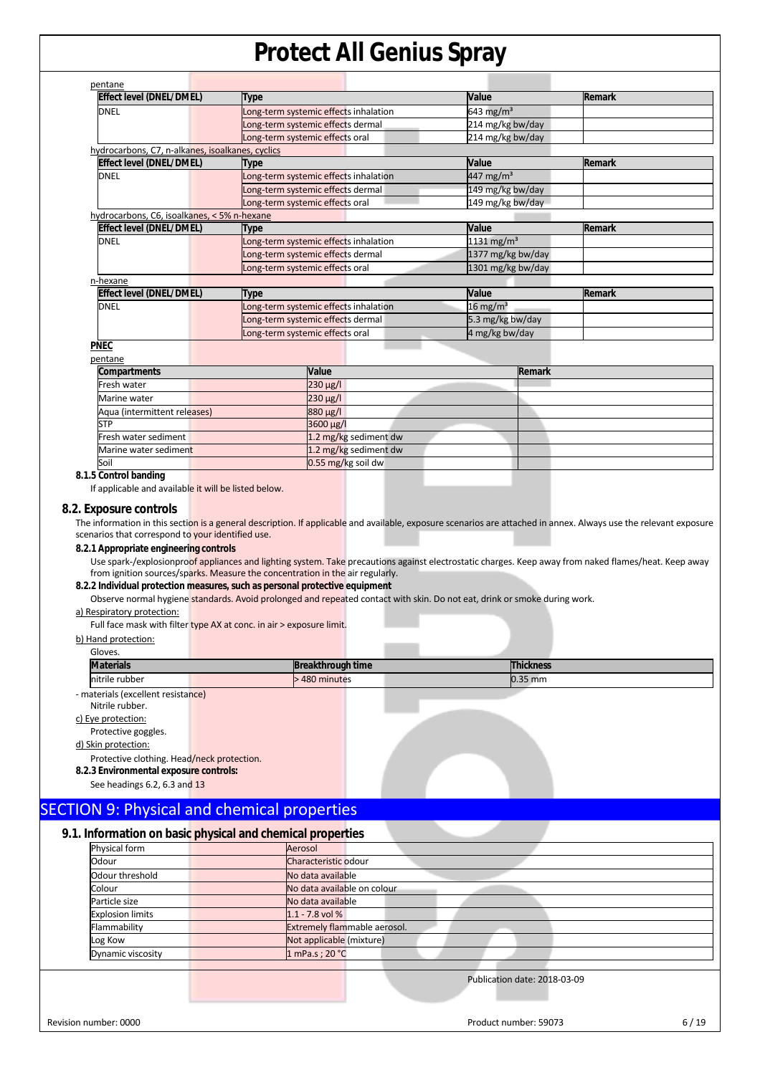| pentane                                          |                                       |                        |               |
|--------------------------------------------------|---------------------------------------|------------------------|---------------|
| <b>Effect level (DNEL/DMEL)</b>                  | Type                                  | Value                  | <b>Remark</b> |
| <b>DNEL</b>                                      | Long-term systemic effects inhalation | 643 mg/m <sup>3</sup>  |               |
|                                                  | Long-term systemic effects dermal     | 214 mg/kg bw/day       |               |
|                                                  | Long-term systemic effects oral       | 214 mg/kg bw/day       |               |
| hydrocarbons, C7, n-alkanes, isoalkanes, cyclics |                                       |                        |               |
| Effect level (DNEL/DMEL)                         | Type                                  | Value                  | Remark        |
| <b>DNEL</b>                                      | Long-term systemic effects inhalation | 447 mg/m <sup>3</sup>  |               |
|                                                  | Long-term systemic effects dermal     | 149 mg/kg bw/day       |               |
|                                                  | Long-term systemic effects oral       | 149 mg/kg bw/day       |               |
| hydrocarbons, C6, isoalkanes, < 5% n-hexane      |                                       |                        |               |
| Effect level (DNEL/DMEL)                         | Type                                  | Value                  | <b>Remark</b> |
| <b>DNEL</b>                                      | Long-term systemic effects inhalation | 1131 mg/m <sup>3</sup> |               |
|                                                  | Long-term systemic effects dermal     | 1377 mg/kg bw/day      |               |
|                                                  | Long-term systemic effects oral       | 1301 mg/kg bw/day      |               |
| n-hexane                                         |                                       |                        |               |
| Effect level (DNEL/DMEL)                         | Type                                  | Value                  | <b>Remark</b> |
| <b>DNEL</b>                                      | Long-term systemic effects inhalation | $16 \text{ mg/m}^3$    |               |
|                                                  | Long-term systemic effects dermal     | 5.3 mg/kg bw/day       |               |
|                                                  | Long-term systemic effects oral       | 4 mg/kg bw/day         |               |

### **PNEC**

| pentane                      |                       |               |  |
|------------------------------|-----------------------|---------------|--|
| <b>Compartments</b>          | Value                 | <b>Remark</b> |  |
| Fresh water                  | $230 \mu g/l$         |               |  |
| Marine water                 | $230 \mu g/l$         |               |  |
| Aqua (intermittent releases) | 880 µg/l              |               |  |
| <b>STP</b>                   | 3600 µg/l             |               |  |
| Fresh water sediment         | 1.2 mg/kg sediment dw |               |  |
| Marine water sediment        | 1.2 mg/kg sediment dw |               |  |
| Soil                         | 0.55 mg/kg soil dw    |               |  |

#### **8.1.5 Control banding**

If applicable and available it will be listed below.

#### **8.2. Exposure controls**

The information in this section is a general description. If applicable and available, exposure scenarios are attached in annex. Always use the relevant exposure scenarios that correspond to your identified use.

#### **8.2.1 Appropriate engineering controls**

Use spark-/explosionproof appliances and lighting system. Take precautions against electrostatic charges. Keep away from naked flames/heat. Keep away from ignition sources/sparks. Measure the concentration in the air regularly.

#### **8.2.2 Individual protection measures, such as personal protective equipment**

Observe normal hygiene standards. Avoid prolonged and repeated contact with skin. Do not eat, drink or smoke during work.

#### a) Respiratory protection:

Full face mask with filter type AX at conc. in air > exposure limit.

#### b) Hand protection:

| Gloves.                                    |                          |                  |
|--------------------------------------------|--------------------------|------------------|
| <b>Materials</b>                           | <b>Breakthrough time</b> | <b>Thickness</b> |
| nitrile rubber                             | >480 minutes             | $0.35$ mm        |
| - materials (excellent resistance)         |                          |                  |
| Nitrile rubber.                            |                          |                  |
| c) Eye protection:                         |                          |                  |
| Protective goggles.                        |                          |                  |
| d) Skin protection:                        |                          |                  |
| Protective clothing. Head/neck protection. |                          |                  |
| 8.2.3 Environmental exposure controls:     |                          |                  |
| See headings 6.2, 6.3 and 13               |                          |                  |
|                                            |                          |                  |

## SECTION 9: Physical and chemical properties

### **9.1. Information on basic physical and chemical properties**

| Physical form           | Aerosol                      |
|-------------------------|------------------------------|
| Odour                   | Characteristic odour         |
| Odour threshold         | No data available            |
| Colour                  | No data available on colour  |
| Particle size           | No data available            |
| <b>Explosion limits</b> | $1.1 - 7.8$ vol %            |
| Flammability            | Extremely flammable aerosol. |
| Log Kow                 | Not applicable (mixture)     |
| Dynamic viscosity       | 1 mPa.s ; 20 °C              |
|                         |                              |
|                         | Publication date: 2018-03-09 |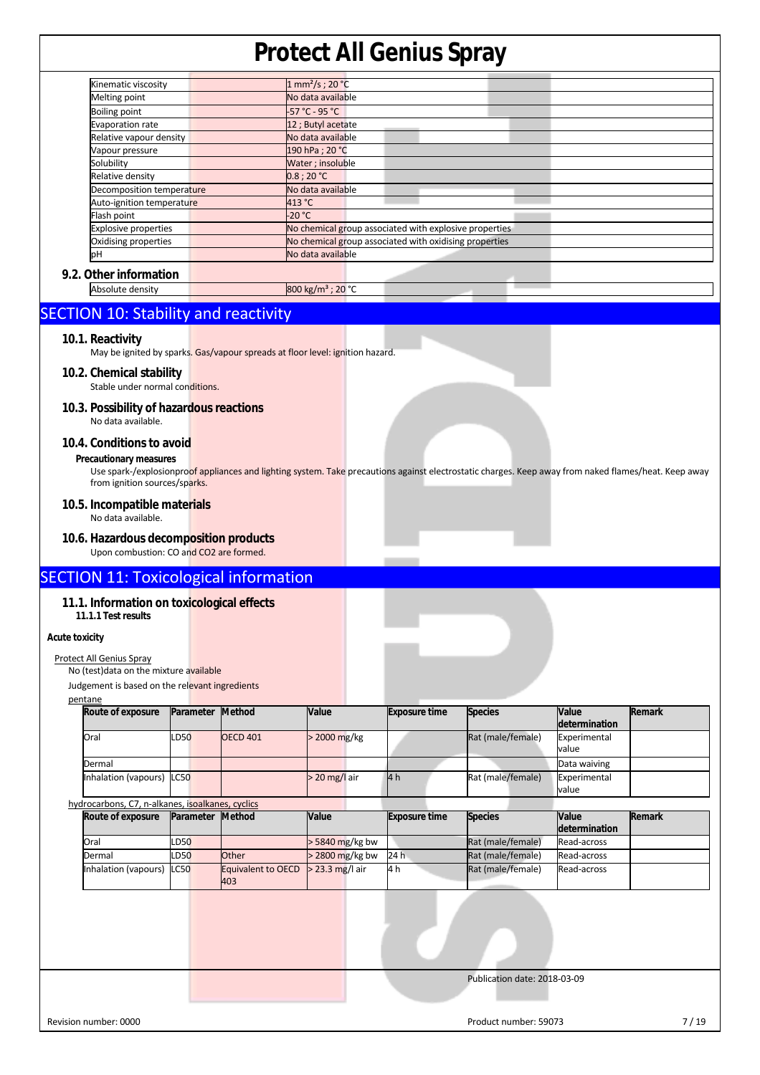| Kinematic viscosity         | 1 mm <sup>2</sup> /s; 20 °C                            |
|-----------------------------|--------------------------------------------------------|
| Melting point               | No data available                                      |
| <b>Boiling point</b>        | -57 °C - 95 °C                                         |
| Evaporation rate            | 12 ; Butyl acetate                                     |
| Relative vapour density     | No data available                                      |
| Vapour pressure             | 190 hPa ; 20 °C                                        |
| Solubility                  | Water ; insoluble                                      |
| Relative density            | 0.8:20 °C                                              |
| Decomposition temperature   | No data available                                      |
| Auto-ignition temperature   | 413 °C                                                 |
| Flash point                 | $-20 °C$                                               |
| <b>Explosive properties</b> | No chemical group associated with explosive properties |
| Oxidising properties        | No chemical group associated with oxidising properties |
| pН                          | No data available                                      |
| 9.2. Other information      |                                                        |
| Absolute density            | 800 kg/m <sup>3</sup> ; 20 °C                          |

## SECTION 10: Stability and reactivity

#### **10.1. Reactivity**

May be ignited by sparks. Gas/vapour spreads at floor level: ignition hazard.

#### **10.2. Chemical stability**

Stable under normal conditions.

#### **10.3. Possibility of hazardous reactions**  No data available.

#### **10.4. Conditions to avoid**

#### **Precautionary measures**

Use spark-/explosionproof appliances and lighting system. Take precautions against electrostatic charges. Keep away from naked flames/heat. Keep away from ignition sources/sparks.

## **10.5. Incompatible materials**

No data available.

#### **10.6. Hazardous decomposition products**  Upon combustion: CO and CO2 are formed.

### SECTION 11: Toxicological information

#### **11.1. Information on toxicological effects**

**11.1.1 Test results** 

#### **Acute toxicity**

#### Protect All Genius Spray

No (test)data on the mixture available

Judgement is based on the relevant ingredients

| pentane                   |             |                         |                 |                      |                   |               |        |
|---------------------------|-------------|-------------------------|-----------------|----------------------|-------------------|---------------|--------|
| Route of exposure         |             | <b>Parameter Method</b> | <b>Value</b>    | <b>Exposure time</b> | <b>Species</b>    | Value         | Remark |
|                           |             |                         |                 |                      |                   | determination |        |
| Oral                      | <b>LD50</b> | <b>OECD 401</b>         | $>$ 2000 mg/kg  |                      | Rat (male/female) | Experimental  |        |
|                           |             |                         |                 |                      |                   | value         |        |
| Dermal                    |             |                         |                 |                      |                   | Data waiving  |        |
| Inhalation (vapours) LC50 |             |                         | $>$ 20 mg/l air | 4h                   | Rat (male/female) | Experimental  |        |
|                           |             |                         |                 |                      |                   | value         |        |

| hydrocarbons, C7, n-alkanes, isoalkanes, cyclics |                  |                           |                   |                      |                   |               |        |
|--------------------------------------------------|------------------|---------------------------|-------------------|----------------------|-------------------|---------------|--------|
| Route of exposure                                | Parameter Method |                           | <b>Value</b>      | <b>Exposure time</b> | <b>Species</b>    | <b>Value</b>  | Remark |
|                                                  |                  |                           |                   |                      |                   | determination |        |
| Oral                                             | <b>LD50</b>      |                           | $>$ 5840 mg/kg bw |                      | Rat (male/female) | Read-across   |        |
| Dermal                                           | <b>LD50</b>      | Other                     | $>$ 2800 mg/kg bw | 24 h                 | Rat (male/female) | Read-across   |        |
| Inhalation (vapours) LC50                        |                  | Equivalent to OECD<br>403 | $>$ 23.3 mg/l air | 4 h                  | Rat (male/female) | Read-across   |        |

Publication date: 2018-03-09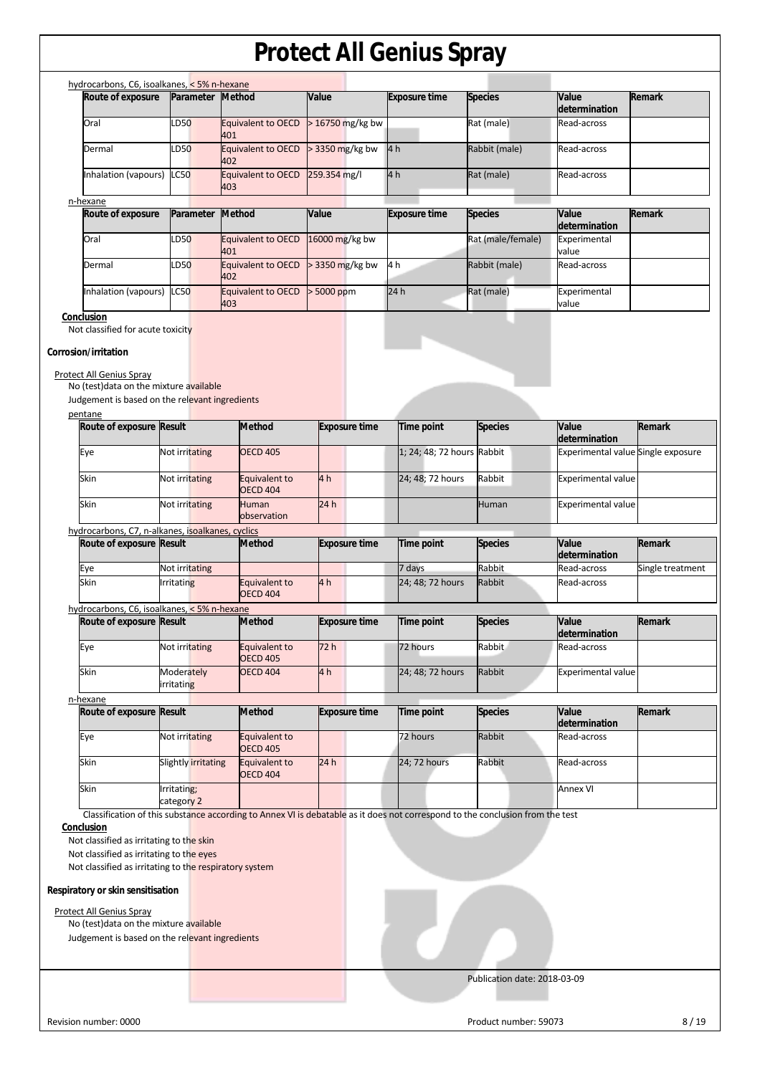| hydrocarbons, C6, isoalkanes, < 5% n-hexane<br>Route of exposure                                                                                                    | Parameter                 | <b>Method</b>                                                                                                                 | Value                | <b>Exposure time</b>       | <b>Species</b>    | Value                              | Remark           |
|---------------------------------------------------------------------------------------------------------------------------------------------------------------------|---------------------------|-------------------------------------------------------------------------------------------------------------------------------|----------------------|----------------------------|-------------------|------------------------------------|------------------|
|                                                                                                                                                                     |                           |                                                                                                                               |                      |                            |                   | determination                      |                  |
| Oral                                                                                                                                                                | LD50                      | Equivalent to OECD<br>401                                                                                                     | > 16750 mg/kg bw     |                            | Rat (male)        | Read-across                        |                  |
| Dermal                                                                                                                                                              | LD50                      | Equivalent to OECD<br>402                                                                                                     | > 3350 mg/kg bw      | 4 <sub>h</sub>             | Rabbit (male)     | Read-across                        |                  |
| Inhalation (vapours)                                                                                                                                                | LC50                      | Equivalent to OECD<br>403                                                                                                     | 259.354 mg/l         | 4h                         | Rat (male)        | Read-across                        |                  |
| n-hexane                                                                                                                                                            |                           |                                                                                                                               |                      |                            |                   |                                    |                  |
| Route of exposure                                                                                                                                                   | Parameter                 | Method                                                                                                                        | Value                | <b>Exposure time</b>       | <b>Species</b>    | Value                              | Remark           |
|                                                                                                                                                                     |                           |                                                                                                                               |                      |                            |                   | determination                      |                  |
| Oral                                                                                                                                                                | LD50                      | Equivalent to OECD<br>401                                                                                                     | 16000 mg/kg bw       |                            | Rat (male/female) | Experimental<br>value              |                  |
| Dermal                                                                                                                                                              | D <sub>50</sub>           | <b>Equivalent to OECD</b><br>402                                                                                              | > 3350 mg/kg bw      | 4h                         | Rabbit (male)     | Read-across                        |                  |
| Inhalation (vapours)                                                                                                                                                | LC50                      | <b>Equivalent to OECD</b><br>403                                                                                              | > 5000 ppm           | 24 h                       | Rat (male)        | Experimental<br>value              |                  |
| Conclusion<br>Not classified for acute toxicity<br>Corrosion/irritation<br>Protect All Genius Spray<br>No (test) data on the mixture available                      |                           |                                                                                                                               |                      |                            |                   |                                    |                  |
| Judgement is based on the relevant ingredients<br>pentane                                                                                                           |                           |                                                                                                                               |                      |                            |                   |                                    |                  |
| Route of exposure Result                                                                                                                                            |                           | <b>Method</b>                                                                                                                 | <b>Exposure time</b> | Time point                 | <b>Species</b>    | Value<br>determination             | Remark           |
| Eye                                                                                                                                                                 | Not irritating            | <b>OECD 405</b>                                                                                                               |                      | 1; 24; 48; 72 hours Rabbit |                   | Experimental value Single exposure |                  |
| Skin                                                                                                                                                                | Not irritating            | Equivalent to                                                                                                                 | 4 <sub>h</sub>       | 24; 48; 72 hours           | Rabbit            | <b>Experimental value</b>          |                  |
| Skin                                                                                                                                                                | Not irritating            | <b>OECD 404</b><br><b>Human</b>                                                                                               | 24h                  |                            | Human             | <b>Experimental value</b>          |                  |
| hydrocarbons, C7, n-alkanes, isoalkanes, cyclics                                                                                                                    |                           | observation                                                                                                                   |                      |                            |                   |                                    |                  |
| Route of exposure Result                                                                                                                                            |                           | <b>Method</b>                                                                                                                 | <b>Exposure time</b> | Time point                 | <b>Species</b>    | Value                              | <b>Remark</b>    |
|                                                                                                                                                                     |                           |                                                                                                                               |                      |                            | <b>Rabbit</b>     | determination<br>Read-across       |                  |
| Eye<br>Skin                                                                                                                                                         | Not irritating            | Equivalent to                                                                                                                 | 4h                   | 7 days<br>24; 48; 72 hours | Rabbit            |                                    | Single treatment |
|                                                                                                                                                                     | <b>Irritating</b>         | <b>OECD 404</b>                                                                                                               |                      |                            |                   | Read-across                        |                  |
| hydrocarbons, C6, isoalkanes, < 5% n-hexane                                                                                                                         |                           |                                                                                                                               |                      |                            |                   |                                    |                  |
| Route of exposure Result                                                                                                                                            |                           | <b>Method</b>                                                                                                                 | <b>Exposure time</b> | Time point                 | <b>Species</b>    | Value<br>determination             | <b>Remark</b>    |
| Eye                                                                                                                                                                 | Not irritating            | Equivalent to                                                                                                                 | 72 h                 | 72 hours                   | Rabbit            | Read-across                        |                  |
|                                                                                                                                                                     |                           | <b>OECD 405</b>                                                                                                               |                      |                            |                   |                                    |                  |
| Skin                                                                                                                                                                | Moderately<br>irritating  | <b>OECD 404</b>                                                                                                               | 4 <sub>h</sub>       | 24; 48; 72 hours           | Rabbit            | <b>Experimental value</b>          |                  |
| n-hexane                                                                                                                                                            |                           |                                                                                                                               |                      |                            |                   |                                    |                  |
| Route of exposure Result                                                                                                                                            |                           | <b>Method</b>                                                                                                                 | <b>Exposure time</b> | <b>Time point</b>          | <b>Species</b>    | Value<br>determination             | <b>Remark</b>    |
| Eye                                                                                                                                                                 | Not irritating            | Equivalent to<br><b>OECD 405</b>                                                                                              |                      | 72 hours                   | Rabbit            | Read-across                        |                  |
| Skin                                                                                                                                                                | Slightly irritating       | Equivalent to<br><b>OECD 404</b>                                                                                              | 24h                  | 24; 72 hours               | Rabbit            | Read-across                        |                  |
| Skin                                                                                                                                                                | Irritating;<br>category 2 |                                                                                                                               |                      |                            |                   | Annex VI                           |                  |
|                                                                                                                                                                     |                           | Classification of this substance according to Annex VI is debatable as it does not correspond to the conclusion from the test |                      |                            |                   |                                    |                  |
| <b>Conclusion</b><br>Not classified as irritating to the skin<br>Not classified as irritating to the eyes<br>Not classified as irritating to the respiratory system |                           |                                                                                                                               |                      |                            |                   |                                    |                  |
| Respiratory or skin sensitisation                                                                                                                                   |                           |                                                                                                                               |                      |                            |                   |                                    |                  |
|                                                                                                                                                                     |                           |                                                                                                                               |                      |                            |                   |                                    |                  |
| Protect All Genius Spray<br>No (test) data on the mixture available                                                                                                 |                           |                                                                                                                               |                      |                            |                   |                                    |                  |
| Judgement is based on the relevant ingredients                                                                                                                      |                           |                                                                                                                               |                      |                            |                   |                                    |                  |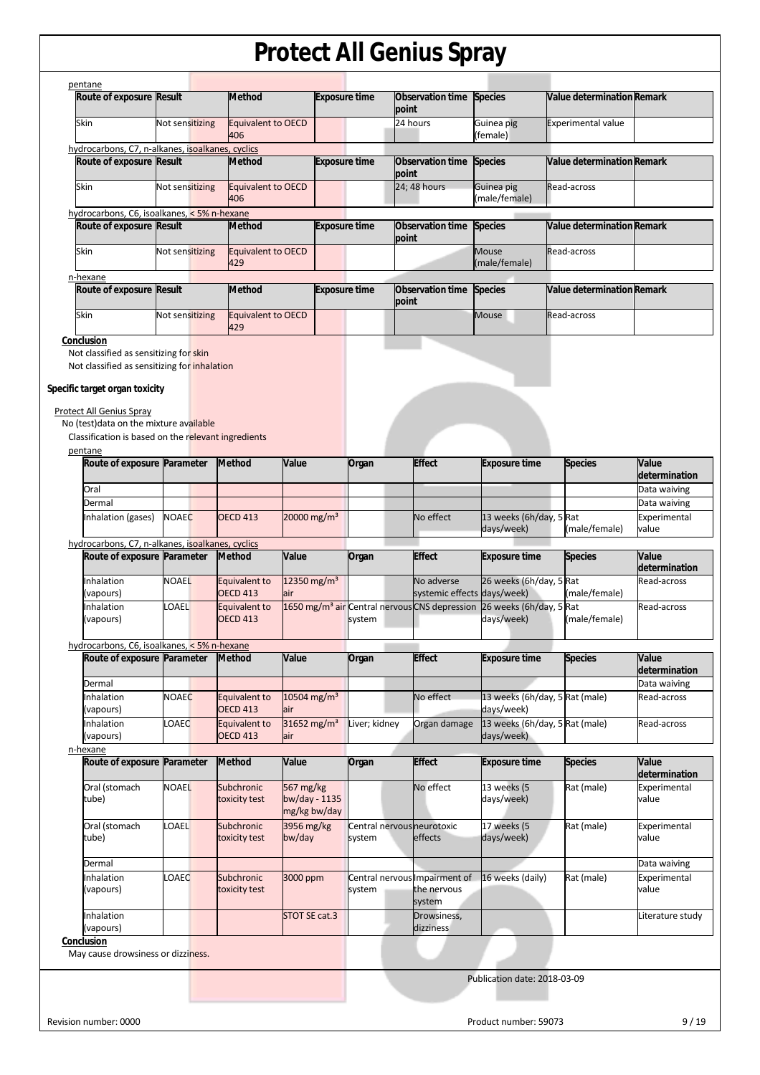| Route of exposure Result                                                     |                 | <b>Method</b>                    |                         | <b>Exposure time</b> | Observation time<br>point                                 | <b>Species</b>                 | Value determination Remark        |                                                               |
|------------------------------------------------------------------------------|-----------------|----------------------------------|-------------------------|----------------------|-----------------------------------------------------------|--------------------------------|-----------------------------------|---------------------------------------------------------------|
| Skin                                                                         | Not sensitizing | <b>Equivalent to OECD</b><br>406 |                         |                      | 24 hours                                                  | Guinea pig<br>(female)         | <b>Experimental value</b>         |                                                               |
| hydrocarbons, C7, n-alkanes, isoalkanes, cyclics<br>Route of exposure Result |                 | <b>Method</b>                    |                         | <b>Exposure time</b> | Observation time                                          | <b>Species</b>                 | <b>Value determination Remark</b> |                                                               |
|                                                                              |                 |                                  |                         |                      | point                                                     |                                |                                   |                                                               |
| Skin                                                                         | Not sensitizing | <b>Equivalent to OECD</b><br>406 |                         |                      | 24; 48 hours                                              | Guinea pig<br>(male/female)    | Read-across                       |                                                               |
| hydrocarbons, C6, isoalkanes, < 5% n-hexane<br>Route of exposure Result      |                 | <b>Method</b>                    |                         | <b>Exposure time</b> | Observation time Species                                  |                                | <b>Value determination Remark</b> |                                                               |
|                                                                              |                 |                                  |                         |                      | point                                                     |                                |                                   |                                                               |
| Skin                                                                         | Not sensitizing | <b>Equivalent to OECD</b><br>429 |                         |                      |                                                           | <b>Mouse</b><br>(male/female)  | Read-across                       |                                                               |
| n-hexane<br>Route of exposure Result                                         |                 | <b>Method</b>                    |                         | <b>Exposure time</b> | Observation time                                          | <b>Species</b>                 | <b>Value determination Remark</b> |                                                               |
|                                                                              |                 |                                  |                         |                      | point                                                     |                                |                                   |                                                               |
| Skin                                                                         | Not sensitizing | <b>Equivalent to OECD</b><br>429 |                         |                      |                                                           | <b>Mouse</b>                   | Read-across                       |                                                               |
| Conclusion                                                                   |                 |                                  |                         |                      |                                                           |                                |                                   |                                                               |
| Not classified as sensitizing for skin                                       |                 |                                  |                         |                      |                                                           |                                |                                   |                                                               |
| Not classified as sensitizing for inhalation                                 |                 |                                  |                         |                      |                                                           |                                |                                   |                                                               |
| Specific target organ toxicity                                               |                 |                                  |                         |                      |                                                           |                                |                                   |                                                               |
|                                                                              |                 |                                  |                         |                      |                                                           |                                |                                   |                                                               |
| Protect All Genius Spray                                                     |                 |                                  |                         |                      |                                                           |                                |                                   |                                                               |
| No (test) data on the mixture available                                      |                 |                                  |                         |                      |                                                           |                                |                                   |                                                               |
| Classification is based on the relevant ingredients                          |                 |                                  |                         |                      |                                                           |                                |                                   |                                                               |
| pentane<br>Route of exposure Parameter                                       |                 | <b>Method</b>                    | Value                   | Organ                | <b>Effect</b>                                             | <b>Exposure time</b>           | <b>Species</b>                    | Value<br>determination                                        |
| Oral                                                                         |                 |                                  |                         |                      |                                                           |                                |                                   | Data waiving                                                  |
| Dermal                                                                       |                 |                                  |                         |                      |                                                           |                                |                                   | Data waiving                                                  |
|                                                                              | <b>NOAEC</b>    | <b>OECD 413</b>                  | 20000 mg/m <sup>3</sup> |                      | No effect                                                 | 13 weeks (6h/day, 5 Rat        |                                   | Experimental                                                  |
| Inhalation (gases)                                                           |                 |                                  |                         |                      |                                                           |                                |                                   |                                                               |
|                                                                              |                 |                                  |                         |                      |                                                           | days/week)                     | (male/female)                     | value                                                         |
|                                                                              |                 |                                  |                         |                      |                                                           |                                |                                   |                                                               |
|                                                                              |                 | <b>Method</b>                    | Value                   | Organ                | <b>Effect</b>                                             | <b>Exposure time</b>           | <b>Species</b>                    | Value                                                         |
| Route of exposure Parameter<br>Inhalation                                    | <b>NOAEL</b>    | Equivalent to                    | 12350 mg/m <sup>3</sup> |                      | No adverse                                                | 26 weeks (6h/day, 5 Rat        |                                   |                                                               |
| (vapours)                                                                    |                 | <b>OECD 413</b>                  | air                     |                      |                                                           | systemic effects days/week)    | (male/female)                     | Read-across                                                   |
| Inhalation                                                                   | LOAEL           | Equivalent to                    |                         |                      | 1650 mg/m <sup>3</sup> air Central nervous CNS depression | 26 weeks (6h/day, 5 Rat        |                                   | Read-across                                                   |
| (vapours)                                                                    |                 | <b>OECD 413</b>                  |                         | system               |                                                           | days/week)                     | (male/female)                     |                                                               |
| hydrocarbons, C7, n-alkanes, isoalkanes, cyclics                             |                 |                                  |                         |                      |                                                           |                                |                                   |                                                               |
| Route of exposure Parameter                                                  |                 | <b>Method</b>                    | Value                   |                      | <b>Effect</b>                                             | <b>Exposure time</b>           | <b>Species</b>                    | Value                                                         |
|                                                                              |                 |                                  |                         | Organ                |                                                           |                                |                                   |                                                               |
| Dermal                                                                       |                 |                                  |                         |                      |                                                           |                                |                                   |                                                               |
| hydrocarbons, C6, isoalkanes, < 5% n-hexane<br>Inhalation                    | <b>NOAEC</b>    | Equivalent to                    | 10504 mg/m <sup>3</sup> |                      | No effect                                                 | 13 weeks (6h/day, 5 Rat (male) |                                   | determination<br>determination<br>Data waiving<br>Read-across |
| (vapours)                                                                    |                 | <b>OECD 413</b>                  | air                     |                      |                                                           | days/week)                     |                                   |                                                               |
| Inhalation                                                                   | LOAEC           | Equivalent to                    | 31652 mg/m <sup>3</sup> | Liver; kidney        | Organ damage                                              | 13 weeks (6h/day, 5 Rat (male) |                                   |                                                               |
| (vapours)                                                                    |                 | <b>OECD 413</b>                  | air                     |                      |                                                           | days/week)                     |                                   | Read-across                                                   |
|                                                                              |                 |                                  | Value                   |                      |                                                           |                                |                                   | Value                                                         |
| Route of exposure Parameter                                                  |                 | Method                           |                         | Organ                | <b>Effect</b>                                             | <b>Exposure time</b>           | <b>Species</b>                    | determination                                                 |
| n-hexane<br>Oral (stomach                                                    | <b>NOAEL</b>    | Subchronic                       | 567 mg/kg               |                      | No effect                                                 | 13 weeks (5                    | Rat (male)                        | Experimental                                                  |
| tube)                                                                        |                 | toxicity test                    | bw/day - 1135           |                      |                                                           | days/week)                     |                                   | value                                                         |
|                                                                              |                 |                                  | mg/kg bw/day            |                      |                                                           |                                |                                   |                                                               |
| Oral (stomach                                                                | <b>LOAEL</b>    | Subchronic                       | 3956 mg/kg              |                      | Central nervous neurotoxic                                | 17 weeks (5                    | Rat (male)                        | Experimental                                                  |
| tube)                                                                        |                 | toxicity test                    | bw/day                  | system               | effects                                                   | days/week)                     |                                   | value                                                         |
| Dermal                                                                       |                 |                                  |                         |                      |                                                           |                                |                                   | Data waiving                                                  |
| Inhalation                                                                   | LOAEC           | Subchronic                       | 3000 ppm                |                      | Central nervous Impairment of                             | 16 weeks (daily)               | Rat (male)                        | Experimental                                                  |
| (vapours)                                                                    |                 | toxicity test                    |                         | system               | the nervous                                               |                                |                                   | value                                                         |
| Inhalation                                                                   |                 |                                  | STOT SE cat.3           |                      | system<br>Drowsiness,                                     |                                |                                   |                                                               |
| (vapours)                                                                    |                 |                                  |                         |                      | dizziness                                                 |                                |                                   | Literature study                                              |
| Conclusion                                                                   |                 |                                  |                         |                      |                                                           |                                |                                   |                                                               |
| May cause drowsiness or dizziness.                                           |                 |                                  |                         |                      |                                                           |                                |                                   |                                                               |

Revision number: 0000 Product number: 59073 9 / 19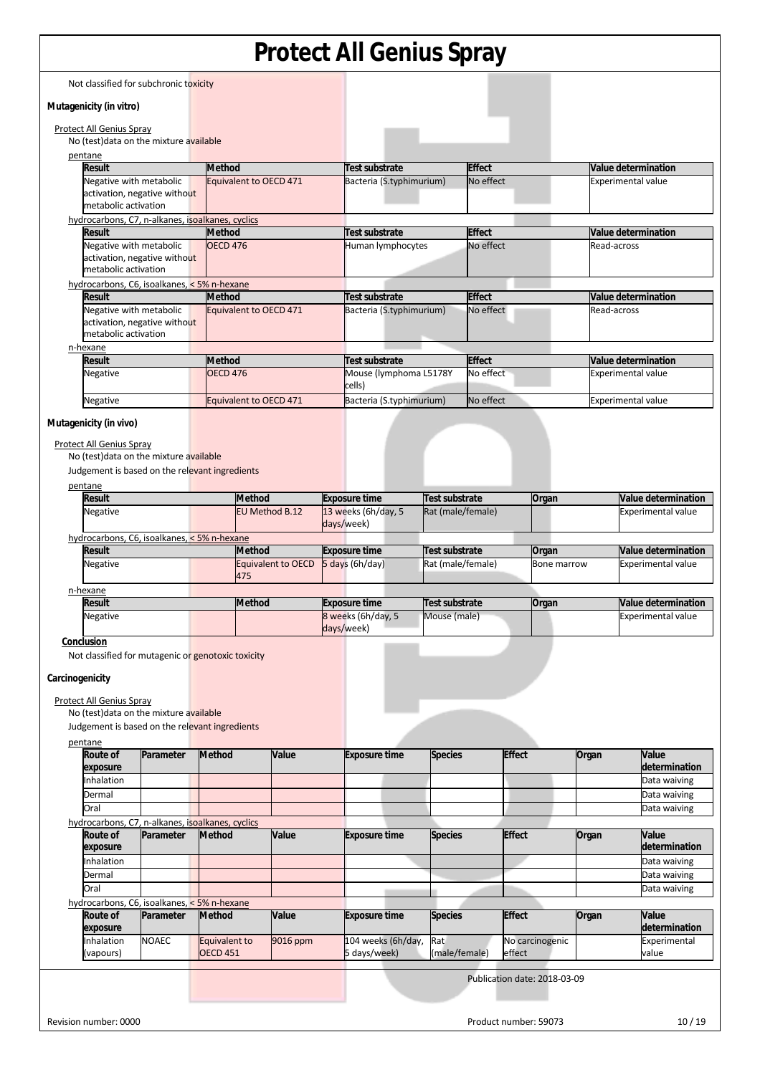Not classified for subchronic toxicity

#### **Mutagenicity (in vitro)**

Protect All Genius Spray No (test)data on the mixture available pentane **Result** Method **Test substrate Effect Value determination** Negative with metabolic activation, negative without metabolic activation Equivalent to OECD 471 Bacteria (S.typhimurium) No effect Experimental value hydrocarbons, C7, n-alkanes, isoalkanes, cyclics<br>Result Method **Result Method Test substrate Effect Value determination** Negative with metabolic activation, negative without metabolic activation OECD 476 **human lymphocytes** No effect Read-across Read-across hydrocarbons, C6, isoalkanes, < 5% n-hexane **Result** Method **Test substrate Effect Value determination** Negative with metabolic activation, negative without metabolic activation Equivalent to OECD 471 Bacteria (S.typhimurium) No effect Read-across n-hexane **Result** Method **Test substrate Effect Value determination**<br> **Result Value determination**<br> **Negative Experimental value OECD 476 Mouse (lymphoma L5178Y** No effect **Experimental value** Negative **OECD 476** Mouse (lymphoma L5178Y cells) Experimental value Negative **Equivalent to OECD 471** Bacteria (S.typhimurium) No effect **Experimental value** 

#### **Mutagenicity (in vivo)**

Protect All Genius Spray

No (test)data on the mixture available

Judgement is based on the relevant ingredients

| pentane                                     |                           |                      |                   |             |                           |
|---------------------------------------------|---------------------------|----------------------|-------------------|-------------|---------------------------|
| <b>Result</b>                               | <b>Method</b>             | <b>Exposure time</b> | Test substrate    | Organ       | Value determination       |
| Negative                                    | EU Method B.12            | 13 weeks (6h/day, 5  | Rat (male/female) |             | <b>Experimental value</b> |
|                                             |                           | days/week)           |                   |             |                           |
| hydrocarbons, C6, isoalkanes, < 5% n-hexane |                           |                      |                   |             |                           |
|                                             |                           |                      |                   |             |                           |
| <b>Result</b>                               | <b>Method</b>             | <b>Exposure time</b> | Test substrate    | Organ       | Value determination       |
| <b>Negative</b>                             | <b>Equivalent to OECD</b> | $5$ days (6h/day)    | Rat (male/female) | Bone marrow | <b>Experimental value</b> |
|                                             | 475                       |                      |                   |             |                           |
| n-hexane                                    |                           |                      |                   |             |                           |

| <b>Result</b>   | <b>Method</b> | <b>Exposure time</b> | Test substrate | Organ | Value determination |
|-----------------|---------------|----------------------|----------------|-------|---------------------|
| <b>Negative</b> |               | 8 weeks (6h/day, 5)  | Mouse (male)   |       | Experimental value  |
|                 |               | days/week)           |                |       |                     |

**Conclusion** 

Not classified for mutagenic or genotoxic toxicity

#### **Carcinogenicity**

Protect All Genius Spray

No (test)data on the mixture available

Judgement is based on the relevant ingredients

#### pentane

| Route of<br>exposure        | Parameter    | <b>Method</b>                                    | Value    | <b>Exposure time</b> | <b>Species</b> | <b>Effect</b>                | Organ | <b>Value</b><br>determination |
|-----------------------------|--------------|--------------------------------------------------|----------|----------------------|----------------|------------------------------|-------|-------------------------------|
| Inhalation                  |              |                                                  |          |                      |                |                              |       | Data waiving                  |
| Dermal                      |              |                                                  |          |                      |                |                              |       | Data waiving                  |
| Oral                        |              |                                                  |          |                      |                |                              |       | Data waiving                  |
|                             |              | hydrocarbons, C7, n-alkanes, isoalkanes, cyclics |          |                      |                |                              |       |                               |
| <b>Route of</b><br>exposure | Parameter    | <b>Method</b>                                    | Value    | <b>Exposure time</b> | <b>Species</b> | <b>Effect</b>                | Organ | Value<br>determination        |
| Inhalation                  |              |                                                  |          |                      |                |                              |       | Data waiving                  |
| Dermal                      |              |                                                  |          |                      |                |                              |       | Data waiving                  |
| Oral                        |              |                                                  |          |                      |                |                              |       | Data waiving                  |
|                             |              | hydrocarbons, C6, isoalkanes, < 5% n-hexane      |          |                      |                |                              |       |                               |
| <b>Route of</b><br>exposure | Parameter    | <b>Method</b>                                    | Value    | <b>Exposure time</b> | <b>Species</b> | <b>Effect</b>                | Organ | Value<br>determination        |
| Inhalation                  | <b>NOAEC</b> | <b>Equivalent to</b>                             | 9016 ppm | 104 weeks (6h/day,   | Rat            | No carcinogenic              |       | Experimental                  |
| (vapours)                   |              | <b>OECD 451</b>                                  |          | 5 days/week)         | (male/female)  | effect                       |       | value                         |
|                             |              |                                                  |          |                      |                | Publication date: 2018-03-09 |       |                               |
|                             |              |                                                  |          |                      |                |                              |       |                               |
| Revision number: 0000       |              |                                                  |          |                      |                | Product number: 59073        |       | 10/19                         |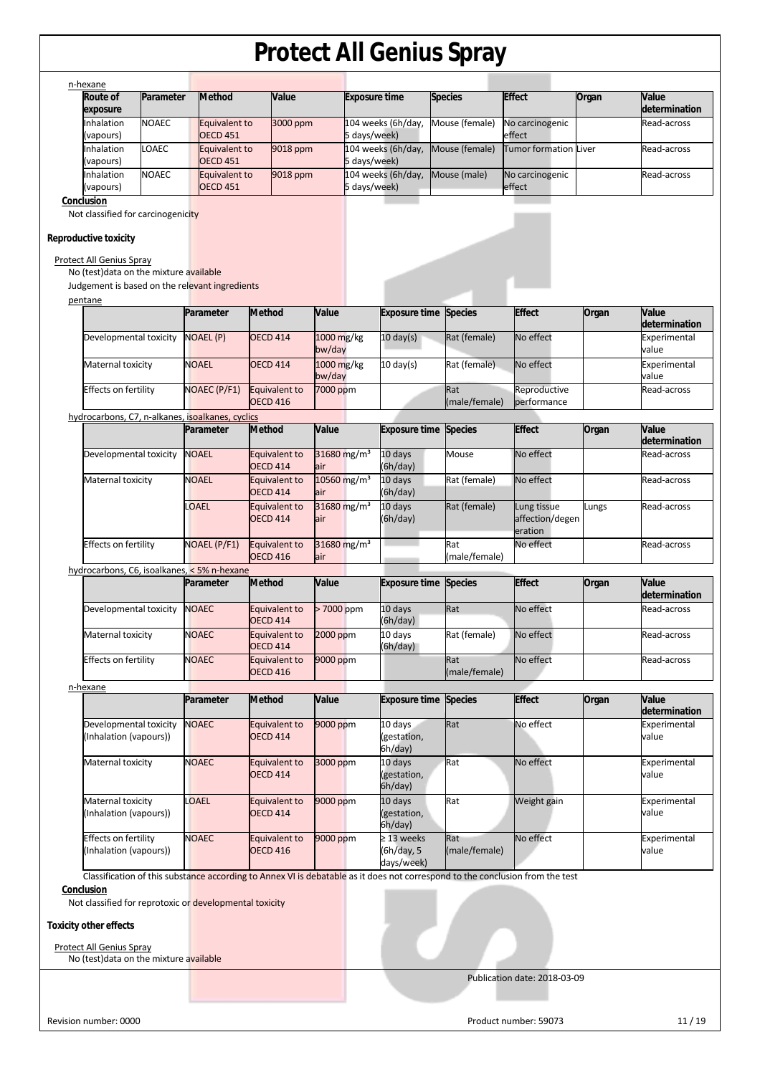| Parameter                                                           | <b>Method</b>                                                                                                                                                                                                                                                                                                                                                   | Value                                                                                                                                                                                                                                                                                                                                                                          |                                                                                                                                                                                                                                                                                                                   | <b>Exposure time</b>                                        |                                                                                                                                                                                                                       | <b>Species</b>                                                                                                                                                          | <b>Effect</b>                                                                                                                                                                                                                 | Organ                                                                                                                                                                                                                                      | Value<br>determination                                              |
|---------------------------------------------------------------------|-----------------------------------------------------------------------------------------------------------------------------------------------------------------------------------------------------------------------------------------------------------------------------------------------------------------------------------------------------------------|--------------------------------------------------------------------------------------------------------------------------------------------------------------------------------------------------------------------------------------------------------------------------------------------------------------------------------------------------------------------------------|-------------------------------------------------------------------------------------------------------------------------------------------------------------------------------------------------------------------------------------------------------------------------------------------------------------------|-------------------------------------------------------------|-----------------------------------------------------------------------------------------------------------------------------------------------------------------------------------------------------------------------|-------------------------------------------------------------------------------------------------------------------------------------------------------------------------|-------------------------------------------------------------------------------------------------------------------------------------------------------------------------------------------------------------------------------|--------------------------------------------------------------------------------------------------------------------------------------------------------------------------------------------------------------------------------------------|---------------------------------------------------------------------|
|                                                                     |                                                                                                                                                                                                                                                                                                                                                                 |                                                                                                                                                                                                                                                                                                                                                                                |                                                                                                                                                                                                                                                                                                                   |                                                             |                                                                                                                                                                                                                       |                                                                                                                                                                         |                                                                                                                                                                                                                               |                                                                                                                                                                                                                                            | Read-across                                                         |
|                                                                     |                                                                                                                                                                                                                                                                                                                                                                 |                                                                                                                                                                                                                                                                                                                                                                                |                                                                                                                                                                                                                                                                                                                   |                                                             |                                                                                                                                                                                                                       |                                                                                                                                                                         |                                                                                                                                                                                                                               |                                                                                                                                                                                                                                            | Read-across                                                         |
|                                                                     |                                                                                                                                                                                                                                                                                                                                                                 |                                                                                                                                                                                                                                                                                                                                                                                |                                                                                                                                                                                                                                                                                                                   |                                                             |                                                                                                                                                                                                                       |                                                                                                                                                                         |                                                                                                                                                                                                                               |                                                                                                                                                                                                                                            | Read-across                                                         |
|                                                                     |                                                                                                                                                                                                                                                                                                                                                                 |                                                                                                                                                                                                                                                                                                                                                                                |                                                                                                                                                                                                                                                                                                                   |                                                             |                                                                                                                                                                                                                       |                                                                                                                                                                         |                                                                                                                                                                                                                               |                                                                                                                                                                                                                                            |                                                                     |
|                                                                     |                                                                                                                                                                                                                                                                                                                                                                 |                                                                                                                                                                                                                                                                                                                                                                                |                                                                                                                                                                                                                                                                                                                   |                                                             |                                                                                                                                                                                                                       |                                                                                                                                                                         |                                                                                                                                                                                                                               |                                                                                                                                                                                                                                            |                                                                     |
|                                                                     |                                                                                                                                                                                                                                                                                                                                                                 |                                                                                                                                                                                                                                                                                                                                                                                |                                                                                                                                                                                                                                                                                                                   |                                                             |                                                                                                                                                                                                                       |                                                                                                                                                                         |                                                                                                                                                                                                                               |                                                                                                                                                                                                                                            |                                                                     |
|                                                                     |                                                                                                                                                                                                                                                                                                                                                                 |                                                                                                                                                                                                                                                                                                                                                                                | Value                                                                                                                                                                                                                                                                                                             |                                                             |                                                                                                                                                                                                                       | <b>Species</b>                                                                                                                                                          | <b>Effect</b>                                                                                                                                                                                                                 | Organ                                                                                                                                                                                                                                      | Value<br>determination                                              |
|                                                                     |                                                                                                                                                                                                                                                                                                                                                                 | <b>OECD 414</b>                                                                                                                                                                                                                                                                                                                                                                |                                                                                                                                                                                                                                                                                                                   |                                                             | $10 \text{ day(s)}$                                                                                                                                                                                                   | Rat (female)                                                                                                                                                            | No effect                                                                                                                                                                                                                     |                                                                                                                                                                                                                                            | Experimental<br>value                                               |
|                                                                     |                                                                                                                                                                                                                                                                                                                                                                 | <b>OECD 414</b>                                                                                                                                                                                                                                                                                                                                                                |                                                                                                                                                                                                                                                                                                                   |                                                             | $10 \text{ day(s)}$                                                                                                                                                                                                   | Rat (female)                                                                                                                                                            | No effect                                                                                                                                                                                                                     |                                                                                                                                                                                                                                            | Experimental<br>value                                               |
|                                                                     |                                                                                                                                                                                                                                                                                                                                                                 | <b>Equivalent to</b><br><b>OECD 416</b>                                                                                                                                                                                                                                                                                                                                        |                                                                                                                                                                                                                                                                                                                   |                                                             |                                                                                                                                                                                                                       | Rat                                                                                                                                                                     | Reproductive<br>performance                                                                                                                                                                                                   |                                                                                                                                                                                                                                            | Read-across                                                         |
|                                                                     |                                                                                                                                                                                                                                                                                                                                                                 |                                                                                                                                                                                                                                                                                                                                                                                |                                                                                                                                                                                                                                                                                                                   |                                                             |                                                                                                                                                                                                                       |                                                                                                                                                                         |                                                                                                                                                                                                                               |                                                                                                                                                                                                                                            |                                                                     |
|                                                                     |                                                                                                                                                                                                                                                                                                                                                                 |                                                                                                                                                                                                                                                                                                                                                                                |                                                                                                                                                                                                                                                                                                                   |                                                             |                                                                                                                                                                                                                       |                                                                                                                                                                         |                                                                                                                                                                                                                               |                                                                                                                                                                                                                                            | Value<br>determination                                              |
|                                                                     |                                                                                                                                                                                                                                                                                                                                                                 | Equivalent to<br><b>OECD 414</b>                                                                                                                                                                                                                                                                                                                                               | air                                                                                                                                                                                                                                                                                                               |                                                             | (6h/day)                                                                                                                                                                                                              | Mouse                                                                                                                                                                   |                                                                                                                                                                                                                               |                                                                                                                                                                                                                                            | Read-across                                                         |
|                                                                     |                                                                                                                                                                                                                                                                                                                                                                 | Equivalent to<br><b>OECD 414</b>                                                                                                                                                                                                                                                                                                                                               | air                                                                                                                                                                                                                                                                                                               |                                                             | (6h/day)                                                                                                                                                                                                              | Rat (female)                                                                                                                                                            |                                                                                                                                                                                                                               |                                                                                                                                                                                                                                            | Read-across                                                         |
|                                                                     |                                                                                                                                                                                                                                                                                                                                                                 | Equivalent to<br><b>OECD 414</b>                                                                                                                                                                                                                                                                                                                                               | air                                                                                                                                                                                                                                                                                                               |                                                             | (6h/day)                                                                                                                                                                                                              | Rat (female)                                                                                                                                                            | Lung tissue<br>eration                                                                                                                                                                                                        | Lungs                                                                                                                                                                                                                                      | Read-across                                                         |
|                                                                     |                                                                                                                                                                                                                                                                                                                                                                 | <b>Equivalent to</b><br><b>OECD 416</b>                                                                                                                                                                                                                                                                                                                                        | air                                                                                                                                                                                                                                                                                                               |                                                             |                                                                                                                                                                                                                       | Rat                                                                                                                                                                     | No effect                                                                                                                                                                                                                     |                                                                                                                                                                                                                                            | Read-across                                                         |
|                                                                     |                                                                                                                                                                                                                                                                                                                                                                 |                                                                                                                                                                                                                                                                                                                                                                                |                                                                                                                                                                                                                                                                                                                   |                                                             |                                                                                                                                                                                                                       |                                                                                                                                                                         |                                                                                                                                                                                                                               |                                                                                                                                                                                                                                            |                                                                     |
|                                                                     |                                                                                                                                                                                                                                                                                                                                                                 |                                                                                                                                                                                                                                                                                                                                                                                |                                                                                                                                                                                                                                                                                                                   |                                                             |                                                                                                                                                                                                                       |                                                                                                                                                                         |                                                                                                                                                                                                                               |                                                                                                                                                                                                                                            | Value<br>determination                                              |
|                                                                     |                                                                                                                                                                                                                                                                                                                                                                 | <b>OECD 414</b>                                                                                                                                                                                                                                                                                                                                                                |                                                                                                                                                                                                                                                                                                                   |                                                             | (6h/day)                                                                                                                                                                                                              |                                                                                                                                                                         |                                                                                                                                                                                                                               |                                                                                                                                                                                                                                            | Read-across                                                         |
|                                                                     |                                                                                                                                                                                                                                                                                                                                                                 | <b>OECD 414</b>                                                                                                                                                                                                                                                                                                                                                                |                                                                                                                                                                                                                                                                                                                   |                                                             | (6h/day)                                                                                                                                                                                                              |                                                                                                                                                                         |                                                                                                                                                                                                                               |                                                                                                                                                                                                                                            | Read-across                                                         |
|                                                                     |                                                                                                                                                                                                                                                                                                                                                                 | Equivalent to<br><b>OECD 416</b>                                                                                                                                                                                                                                                                                                                                               |                                                                                                                                                                                                                                                                                                                   |                                                             |                                                                                                                                                                                                                       | Rat                                                                                                                                                                     |                                                                                                                                                                                                                               |                                                                                                                                                                                                                                            | Read-across                                                         |
|                                                                     |                                                                                                                                                                                                                                                                                                                                                                 |                                                                                                                                                                                                                                                                                                                                                                                |                                                                                                                                                                                                                                                                                                                   |                                                             |                                                                                                                                                                                                                       |                                                                                                                                                                         |                                                                                                                                                                                                                               |                                                                                                                                                                                                                                            |                                                                     |
|                                                                     |                                                                                                                                                                                                                                                                                                                                                                 |                                                                                                                                                                                                                                                                                                                                                                                |                                                                                                                                                                                                                                                                                                                   |                                                             |                                                                                                                                                                                                                       |                                                                                                                                                                         |                                                                                                                                                                                                                               |                                                                                                                                                                                                                                            | Value<br>determination                                              |
|                                                                     |                                                                                                                                                                                                                                                                                                                                                                 | Equivalent to<br><b>OECD 414</b>                                                                                                                                                                                                                                                                                                                                               |                                                                                                                                                                                                                                                                                                                   |                                                             | 10 days<br>(gestation,<br>6h/day)                                                                                                                                                                                     | Rat                                                                                                                                                                     |                                                                                                                                                                                                                               |                                                                                                                                                                                                                                            | Experimental<br>value                                               |
| Maternal toxicity                                                   | <b>NOAEC</b>                                                                                                                                                                                                                                                                                                                                                    | Equivalent to<br><b>OECD 414</b>                                                                                                                                                                                                                                                                                                                                               | 3000 ppm                                                                                                                                                                                                                                                                                                          |                                                             | 10 days<br>(gestation,<br>6h/day)                                                                                                                                                                                     | Rat                                                                                                                                                                     | No effect                                                                                                                                                                                                                     |                                                                                                                                                                                                                                            | Experimental<br>value                                               |
|                                                                     |                                                                                                                                                                                                                                                                                                                                                                 |                                                                                                                                                                                                                                                                                                                                                                                |                                                                                                                                                                                                                                                                                                                   |                                                             |                                                                                                                                                                                                                       |                                                                                                                                                                         |                                                                                                                                                                                                                               |                                                                                                                                                                                                                                            |                                                                     |
| Maternal toxicity<br>(Inhalation (vapours))                         | LOAEL                                                                                                                                                                                                                                                                                                                                                           | Equivalent to<br><b>OECD 414</b>                                                                                                                                                                                                                                                                                                                                               | 9000 ppm                                                                                                                                                                                                                                                                                                          |                                                             | 10 days<br>(gestation,<br>6h/day)                                                                                                                                                                                     | Rat                                                                                                                                                                     | Weight gain                                                                                                                                                                                                                   |                                                                                                                                                                                                                                            | Experimental<br>value                                               |
| <b>Effects on fertility</b><br>(Inhalation (vapours))               | <b>NOAEC</b>                                                                                                                                                                                                                                                                                                                                                    | Equivalent to<br><b>OECD 416</b>                                                                                                                                                                                                                                                                                                                                               | 9000 ppm                                                                                                                                                                                                                                                                                                          |                                                             | $\geq$ 13 weeks<br>(6h/day, 5<br>days/week)                                                                                                                                                                           | Rat<br>(male/female)                                                                                                                                                    | No effect                                                                                                                                                                                                                     |                                                                                                                                                                                                                                            | value                                                               |
| Protect All Genius Spray<br>No (test) data on the mixture available | Not classified for reprotoxic or developmental toxicity                                                                                                                                                                                                                                                                                                         |                                                                                                                                                                                                                                                                                                                                                                                |                                                                                                                                                                                                                                                                                                                   |                                                             |                                                                                                                                                                                                                       |                                                                                                                                                                         | Classification of this substance according to Annex VI is debatable as it does not correspond to the conclusion from the test                                                                                                 |                                                                                                                                                                                                                                            | Experimental                                                        |
|                                                                     | <b>NOAEC</b><br>LOAEC<br><b>NOAEC</b><br><b>Protect All Genius Spray</b><br>Developmental toxicity<br>Maternal toxicity<br><b>Effects on fertility</b><br>Developmental toxicity<br>Maternal toxicity<br><b>Effects on fertility</b><br>Developmental toxicity<br>Maternal toxicity<br>Effects on fertility<br>Developmental toxicity<br>(Inhalation (vapours)) | <b>OECD 451</b><br><b>OECD 451</b><br><b>OECD 451</b><br>Not classified for carcinogenicity<br>No (test) data on the mixture available<br>Parameter<br><b>NOAEL (P)</b><br><b>NOAEL</b><br>NOAEC (P/F1)<br>Parameter<br><b>NOAEL</b><br><b>NOAEL</b><br><b>LOAEL</b><br>NOAEL (P/F1)<br>Parameter<br><b>NOAEC</b><br><b>NOAEC</b><br><b>NOAEC</b><br>Parameter<br><b>NOAEC</b> | Equivalent to<br>Equivalent to<br>Equivalent to<br>Judgement is based on the relevant ingredients<br><b>Method</b><br>hydrocarbons, C7, n-alkanes, isoalkanes, cyclics<br><b>Method</b><br>hydrocarbons, C6, isoalkanes, < 5% n-hexane<br><b>Method</b><br><b>Equivalent to</b><br>Equivalent to<br><b>Method</b> | 3000 ppm<br>9018 ppm<br>9018 ppm<br>Value<br>Value<br>Value | 1000 mg/kg<br>bw/day<br>1000 mg/kg<br>bw/day<br>7000 ppm<br>31680 mg/m <sup>3</sup><br>10560 mg/m <sup>3</sup><br>31680 mg/m <sup>3</sup><br>31680 mg/m <sup>3</sup><br>>7000 ppm<br>2000 ppm<br>9000 ppm<br>9000 ppm | 104 weeks (6h/day,<br>5 days/week)<br>104 weeks (6h/day,<br>5 days/week)<br>104 weeks (6h/day,<br>5 days/week)<br>10 days<br>10 days<br>$10$ days<br>10 days<br>10 days | Mouse (female)<br>Mouse (female)<br>Mouse (male)<br><b>Exposure time</b><br><b>Species</b><br><b>Exposure time</b><br><b>Exposure time</b><br><b>Species</b><br>Rat<br>Rat (female)<br><b>Exposure time</b><br><b>Species</b> | No carcinogenic<br>effect<br>No carcinogenic<br>effect<br>(male/female)<br><b>Effect</b><br>No effect<br>No effect<br>(male/female)<br><b>Effect</b><br>No effect<br>No effect<br>No effect<br>(male/female)<br><b>Effect</b><br>No effect | Tumor formation Liver<br>Organ<br>affection/degen<br>Organ<br>Organ |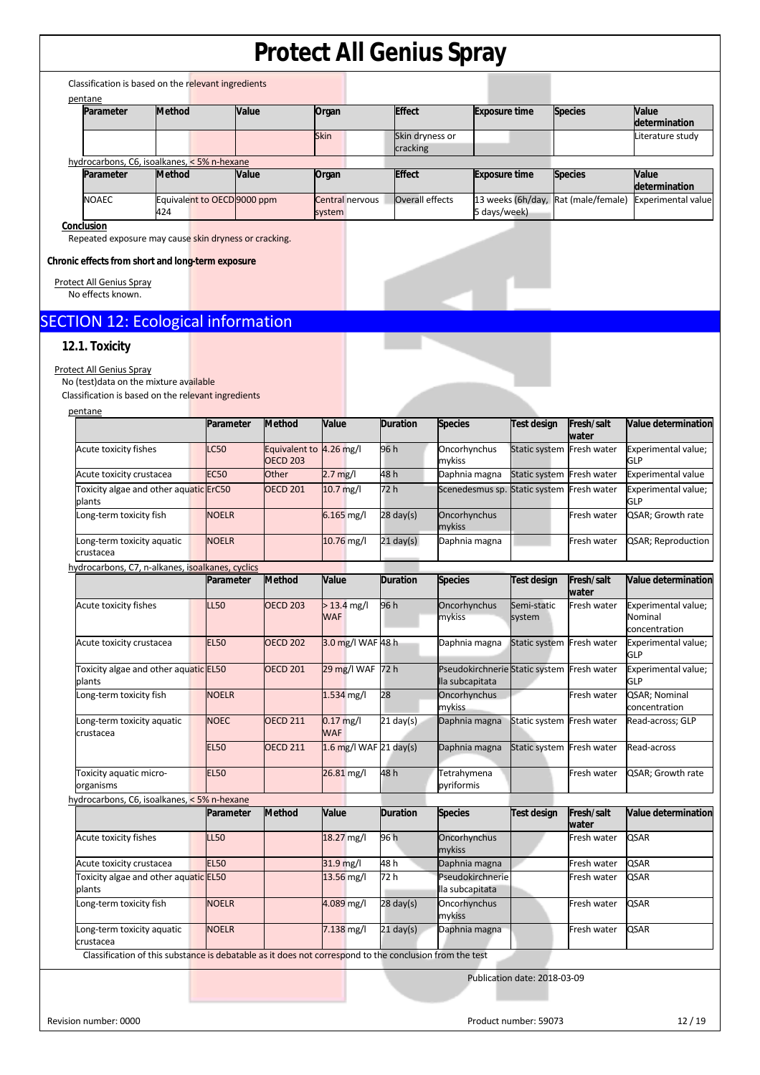| Parameter                                                                                               | <b>Method</b> | Value                       |                          | Organ                       | <b>Effect</b>       |                                        | <b>Exposure time</b>                       | <b>Species</b>            | <b>Value</b>                               |
|---------------------------------------------------------------------------------------------------------|---------------|-----------------------------|--------------------------|-----------------------------|---------------------|----------------------------------------|--------------------------------------------|---------------------------|--------------------------------------------|
|                                                                                                         |               |                             |                          | Skin                        | Skin dryness or     |                                        |                                            |                           | determination<br>Literature study          |
| hydrocarbons, C6, isoalkanes, < 5% n-hexane                                                             |               |                             |                          |                             | cracking            |                                        |                                            |                           |                                            |
| Parameter                                                                                               | <b>Method</b> | Value                       |                          | Organ                       | <b>Effect</b>       |                                        | <b>Exposure time</b>                       | <b>Species</b>            | Value                                      |
| NOAEC                                                                                                   |               | Equivalent to OECD 9000 ppm |                          | Central nervous             | Overall effects     |                                        | 13 weeks (6h/day,                          | Rat (male/female)         | determination<br><b>Experimental value</b> |
|                                                                                                         | 424           |                             |                          | system                      |                     |                                        | 5 days/week)                               |                           |                                            |
| Conclusion<br>Repeated exposure may cause skin dryness or cracking.                                     |               |                             |                          |                             |                     |                                        |                                            |                           |                                            |
|                                                                                                         |               |                             |                          |                             |                     |                                        |                                            |                           |                                            |
| Chronic effects from short and long-term exposure                                                       |               |                             |                          |                             |                     |                                        |                                            |                           |                                            |
| Protect All Genius Spray<br>No effects known.                                                           |               |                             |                          |                             |                     |                                        |                                            |                           |                                            |
|                                                                                                         |               |                             |                          |                             |                     |                                        |                                            |                           |                                            |
| <b>SECTION 12: Ecological information</b>                                                               |               |                             |                          |                             |                     |                                        |                                            |                           |                                            |
| 12.1. Toxicity                                                                                          |               |                             |                          |                             |                     |                                        |                                            |                           |                                            |
| Protect All Genius Spray                                                                                |               |                             |                          |                             |                     |                                        |                                            |                           |                                            |
| No (test) data on the mixture available<br>Classification is based on the relevant ingredients          |               |                             |                          |                             |                     |                                        |                                            |                           |                                            |
| pentane                                                                                                 |               |                             |                          |                             |                     |                                        |                                            |                           |                                            |
|                                                                                                         |               | Parameter                   | <b>Method</b>            | Value                       | <b>Duration</b>     | <b>Species</b>                         | <b>Test design</b>                         | Fresh/salt<br>water       | Value determination                        |
| Acute toxicity fishes                                                                                   |               | LC50                        | Equivalent to 4.26 mg/l  |                             | 96 h                | Oncorhynchus                           | <b>Static system</b>                       | Fresh water               | Experimental value;                        |
| Acute toxicity crustacea                                                                                |               | <b>EC50</b>                 | <b>OECD 203</b><br>Other | $2.7 \text{ mg/l}$          | 48 h                | mykiss<br>Daphnia magna                | Static system                              | Fresh water               | GLP<br><b>Experimental value</b>           |
| Toxicity algae and other aquatic ErC50                                                                  |               |                             | <b>OECD 201</b>          | $10.7$ mg/l                 | 72 h                |                                        | Scenedesmus sp. Static system              | Fresh water               | Experimental value;                        |
| plants<br>Long-term toxicity fish                                                                       |               | <b>NOELR</b>                |                          | $6.165$ mg/l                | $28$ day(s)         | Oncorhynchus                           |                                            | Fresh water               | GLP<br>QSAR; Growth rate                   |
|                                                                                                         |               |                             |                          |                             |                     | mykiss                                 |                                            |                           |                                            |
| Long-term toxicity aquatic<br>crustacea                                                                 |               | <b>NOELR</b>                |                          | 10.76 mg/l                  | $21 \text{ day(s)}$ | Daphnia magna                          |                                            | Fresh water               | QSAR; Reproduction                         |
| hydrocarbons, C7, n-alkanes, isoalkanes, cyclics                                                        |               |                             |                          |                             |                     |                                        |                                            |                           |                                            |
|                                                                                                         |               | Parameter                   | <b>Method</b>            | Value                       | <b>Duration</b>     | <b>Species</b>                         | <b>Test design</b>                         | Fresh/salt<br>water       | Value determination                        |
| Acute toxicity fishes                                                                                   |               | LL50                        | <b>OECD 203</b>          | $> 13.4$ mg/l<br><b>WAF</b> | 96 h                | Oncorhynchus<br>mykiss                 | Semi-static<br>system                      | Fresh water               | Experimental value;<br>Nominal             |
|                                                                                                         |               |                             |                          |                             |                     |                                        |                                            |                           | concentration                              |
| Acute toxicity crustacea                                                                                |               | <b>EL50</b>                 | <b>OECD 202</b>          | 3.0 mg/l WAF 48 h           |                     | Daphnia magna                          |                                            | Static system Fresh water | Experimental value;<br>GLP                 |
| Toxicity algae and other aquatic EL50                                                                   |               |                             | <b>OECD 201</b>          | 29 mg/l WAF 72 h            |                     |                                        | Pseudokirchnerie Static system Fresh water |                           | Experimental value;                        |
| plants<br>Long-term toxicity fish                                                                       |               | <b>NOELR</b>                |                          | 1.534 mg/l                  | 28                  | lla subcapitata<br><b>Oncorhynchus</b> |                                            | Fresh water               | GLP<br>QSAR; Nominal                       |
|                                                                                                         |               |                             |                          |                             |                     | mykiss                                 |                                            |                           | concentration                              |
| Long-term toxicity aquatic<br>crustacea                                                                 |               | <b>NOEC</b>                 | <b>OECD 211</b>          | $0.17$ mg/l<br><b>WAF</b>   | $21$ day(s)         | Daphnia magna                          | Static system                              | Fresh water               | Read-across; GLP                           |
|                                                                                                         |               | <b>EL50</b>                 | <b>OECD 211</b>          | $1.6$ mg/l WAF 21 day(s)    |                     | Daphnia magna                          | Static system                              | Fresh water               | Read-across                                |
| Toxicity aquatic micro-                                                                                 |               | <b>EL50</b>                 |                          | 26.81 mg/l                  | 48 h                | Tetrahymena                            |                                            | Fresh water               | QSAR; Growth rate                          |
| organisms                                                                                               |               |                             |                          |                             |                     | pyriformis                             |                                            |                           |                                            |
| hydrocarbons, C6, isoalkanes, < 5% n-hexane                                                             |               | Parameter                   | <b>Method</b>            | Value                       | <b>Duration</b>     | <b>Species</b>                         | Test design                                | Fresh/salt                | Value determination                        |
|                                                                                                         |               |                             |                          |                             |                     |                                        |                                            | water                     |                                            |
| Acute toxicity fishes                                                                                   |               | LL50                        |                          | 18.27 mg/l                  | 96 h                | Oncorhynchus<br>mykiss                 |                                            | Fresh water               | <b>QSAR</b>                                |
| Acute toxicity crustacea                                                                                |               | <b>EL50</b>                 |                          | 31.9 mg/l                   | 48 h                | Daphnia magna                          |                                            | Fresh water               | QSAR                                       |
| Toxicity algae and other aquatic EL50<br>plants                                                         |               |                             |                          | 13.56 mg/l                  | 72 h                | Pseudokirchnerie<br>lla subcapitata    |                                            | Fresh water               | <b>QSAR</b>                                |
| Long-term toxicity fish                                                                                 |               | <b>NOELR</b>                |                          | 4.089 mg/l                  | $28$ day(s)         | Oncorhynchus                           |                                            | Fresh water               | <b>QSAR</b>                                |
| Long-term toxicity aquatic                                                                              |               | <b>NOELR</b>                |                          | 7.138 mg/l                  | $21$ day(s)         | mykiss<br>Daphnia magna                |                                            | Fresh water               | <b>QSAR</b>                                |
| crustacea                                                                                               |               |                             |                          |                             |                     |                                        |                                            |                           |                                            |
| Classification of this substance is debatable as it does not correspond to the conclusion from the test |               |                             |                          |                             |                     |                                        |                                            |                           |                                            |

Revision number: 0000 12/19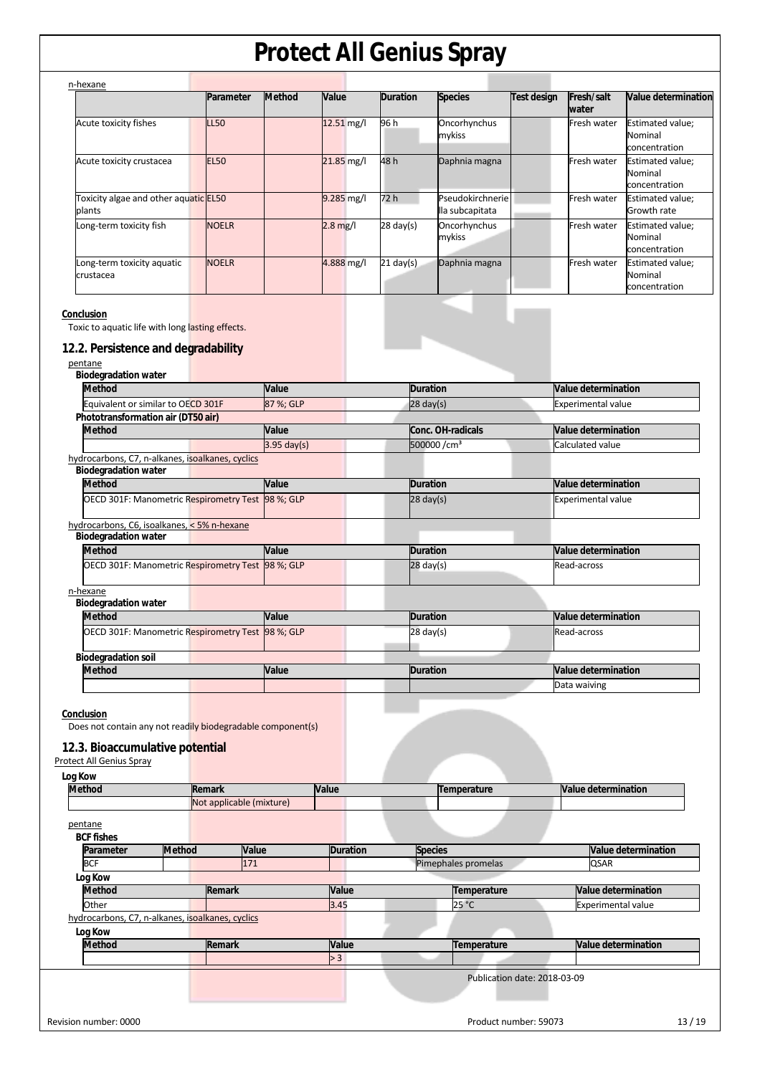| n-hexane                                                                                           |              |               |              |                 |                                     |                    |                           |                                              |
|----------------------------------------------------------------------------------------------------|--------------|---------------|--------------|-----------------|-------------------------------------|--------------------|---------------------------|----------------------------------------------|
|                                                                                                    | Parameter    | <b>Method</b> | Value        | <b>Duration</b> | <b>Species</b>                      | <b>Test design</b> | Fresh/salt<br>water       | Value determination                          |
| Acute toxicity fishes                                                                              | LL50         |               | 12.51 mg/l   | 96 h            | Oncorhynchus<br>mykiss              |                    | Fresh water               | Estimated value;<br>Nominal<br>concentration |
| Acute toxicity crustacea                                                                           | <b>EL50</b>  |               | 21.85 mg/l   | 48 h            | Daphnia magna                       |                    | Fresh water               | Estimated value;<br>Nominal<br>concentration |
| Toxicity algae and other aquatic EL50<br>plants                                                    |              |               | $9.285$ mg/l | 72 h            | Pseudokirchnerie<br>lla subcapitata |                    | Fresh water               | Estimated value;<br>Growth rate              |
| Long-term toxicity fish                                                                            | <b>NOELR</b> |               | $2.8$ mg/l   | 28 day(s)       | Oncorhynchus<br>mykiss              |                    | Fresh water               | Estimated value;<br>Nominal<br>concentration |
| Long-term toxicity aquatic<br>crustacea                                                            | <b>NOELR</b> |               | 4.888 mg/l   | $21$ day(s)     | Daphnia magna                       |                    | Fresh water               | Estimated value;<br>Nominal<br>concentration |
| Toxic to aquatic life with long lasting effects.<br>12.2. Persistence and degradability<br>pentane |              |               |              |                 |                                     |                    |                           |                                              |
| <b>Biodegradation water</b>                                                                        |              |               |              |                 |                                     |                    |                           |                                              |
| <b>Method</b>                                                                                      |              | Value         |              | <b>Duration</b> |                                     |                    | Value determination       |                                              |
| Equivalent or similar to OECD 301F                                                                 |              | 87 %; GLP     |              | $28$ day(s)     |                                     |                    | <b>Experimental value</b> |                                              |
| Phototransformation air (DT50 air)                                                                 |              |               |              |                 |                                     |                    |                           |                                              |
| <b>Method</b>                                                                                      |              | Value         |              |                 | Conc. OH-radicals                   |                    | Value determination       |                                              |
|                                                                                                    |              | $3.95$ day(s) |              |                 | 500000/cm <sup>3</sup>              |                    | Calculated value          |                                              |
| hydrocarbons, C7, n-alkanes, isoalkanes, cyclics<br><b>Biodegradation water</b>                    |              |               |              |                 |                                     |                    |                           |                                              |
| <b>Method</b>                                                                                      |              | Value         |              | <b>Duration</b> |                                     |                    | Value determination       |                                              |
| OECD 301F: Manometric Respirometry Test 98 %; GLP                                                  |              |               |              | $28$ day(s)     |                                     |                    | <b>Experimental value</b> |                                              |
|                                                                                                    |              |               |              |                 |                                     |                    |                           |                                              |
| hydrocarbons, C6, isoalkanes, < 5% n-hexane<br><b>Biodegradation water</b>                         |              |               |              |                 |                                     |                    |                           |                                              |
| <b>Method</b>                                                                                      |              | Value         |              | <b>Duration</b> |                                     |                    | Value determination       |                                              |
| OECD 301F: Manometric Respirometry Test 98 %; GLP                                                  |              |               |              | $28$ day(s)     |                                     |                    | Read-across               |                                              |
| n-hexane                                                                                           |              |               |              |                 |                                     |                    |                           |                                              |
| <b>Biodegradation water</b>                                                                        |              |               |              |                 |                                     |                    |                           |                                              |
| <b>Method</b>                                                                                      |              | Value         |              | <b>Duration</b> |                                     |                    | Value determination       |                                              |
| OECD 301F: Manometric Respirometry Test 98 %; GLP                                                  |              |               |              | $28$ day(s)     |                                     |                    | Read-across               |                                              |
| <b>Biodegradation soil</b>                                                                         |              |               |              |                 |                                     |                    |                           |                                              |
| <b>Method</b>                                                                                      |              | Value         |              | <b>Duration</b> |                                     |                    | Value determination       |                                              |

**Conclusion** 

Does not contain any not readily biodegradable component(s)

#### **12.3. Bioaccumulative potential**

| Log Kow                                          |               |                          |                 |                              |                            |
|--------------------------------------------------|---------------|--------------------------|-----------------|------------------------------|----------------------------|
| <b>Method</b>                                    |               | <b>Remark</b>            | Value           | Temperature                  | Value determination        |
|                                                  |               | Not applicable (mixture) |                 |                              |                            |
| pentane                                          |               |                          |                 |                              |                            |
| <b>BCF fishes</b>                                |               |                          |                 |                              |                            |
| Parameter                                        | <b>Method</b> | Value                    | <b>Duration</b> | <b>Species</b>               | <b>Value determination</b> |
| <b>BCF</b>                                       |               | 171                      |                 | Pimephales promelas          | <b>QSAR</b>                |
| Log Kow                                          |               |                          |                 |                              |                            |
| <b>Method</b>                                    |               | Remark                   | Value           | Temperature                  | <b>Value determination</b> |
| Other                                            |               |                          | 3.45            | 25 °C                        | <b>Experimental value</b>  |
| hydrocarbons, C7, n-alkanes, isoalkanes, cyclics |               |                          |                 |                              |                            |
| Log Kow                                          |               |                          |                 |                              |                            |
| <b>Method</b>                                    |               | Remark                   | Value           | Temperature                  | <b>Value determination</b> |
|                                                  |               |                          | > 3             |                              |                            |
|                                                  |               |                          |                 | Publication date: 2018-03-09 |                            |
|                                                  |               |                          |                 |                              |                            |
| Revision number: 0000                            |               |                          |                 | Product number: 59073        | 13/19                      |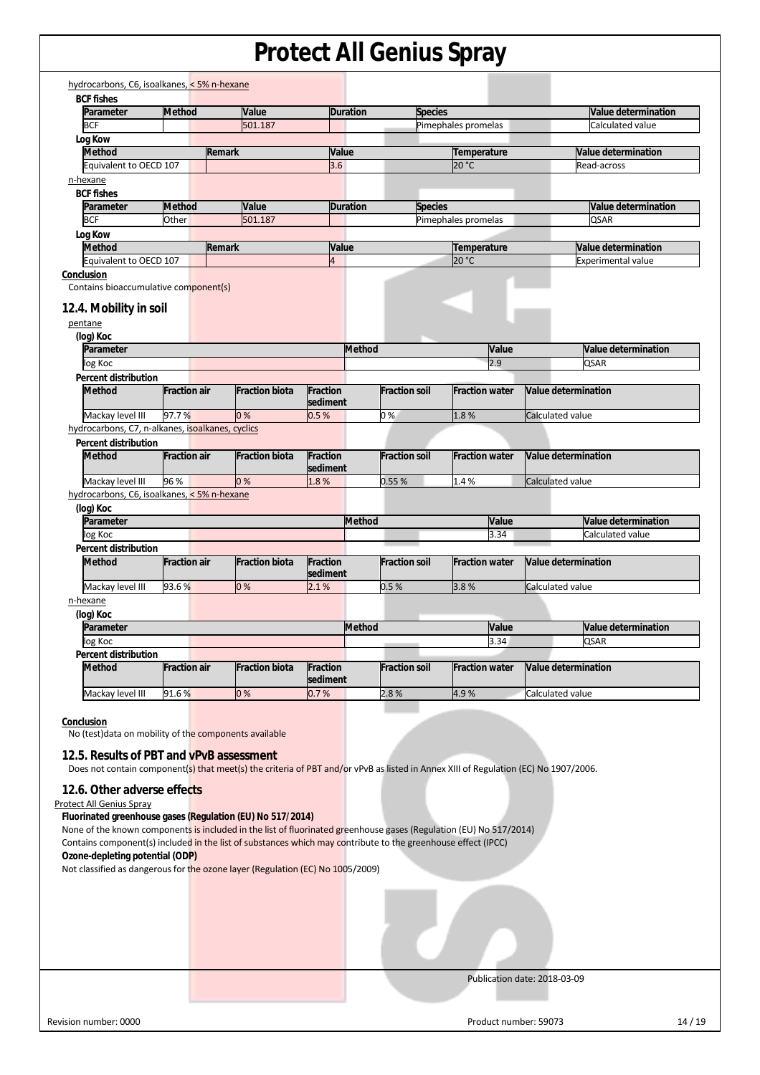| Parameter                                                                                                                                                                                                                                                                                                                                                                                                                                                                                                                                                                                                                                                                                                                             |                     |                       |                 |                      |                       |                              |
|---------------------------------------------------------------------------------------------------------------------------------------------------------------------------------------------------------------------------------------------------------------------------------------------------------------------------------------------------------------------------------------------------------------------------------------------------------------------------------------------------------------------------------------------------------------------------------------------------------------------------------------------------------------------------------------------------------------------------------------|---------------------|-----------------------|-----------------|----------------------|-----------------------|------------------------------|
|                                                                                                                                                                                                                                                                                                                                                                                                                                                                                                                                                                                                                                                                                                                                       | Method              | Value                 | <b>Duration</b> | <b>Species</b>       |                       | Value determination          |
| <b>BCF</b>                                                                                                                                                                                                                                                                                                                                                                                                                                                                                                                                                                                                                                                                                                                            |                     | 501.187               |                 |                      | Pimephales promelas   | Calculated value             |
| Log Kow                                                                                                                                                                                                                                                                                                                                                                                                                                                                                                                                                                                                                                                                                                                               |                     |                       |                 |                      |                       |                              |
| <b>Method</b>                                                                                                                                                                                                                                                                                                                                                                                                                                                                                                                                                                                                                                                                                                                         | <b>Remark</b>       |                       | Value           |                      | Temperature           | Value determination          |
| Equivalent to OECD 107                                                                                                                                                                                                                                                                                                                                                                                                                                                                                                                                                                                                                                                                                                                |                     |                       | 3.6             |                      | 20 °C                 | Read-across                  |
| n-hexane                                                                                                                                                                                                                                                                                                                                                                                                                                                                                                                                                                                                                                                                                                                              |                     |                       |                 |                      |                       |                              |
| <b>BCF fishes</b>                                                                                                                                                                                                                                                                                                                                                                                                                                                                                                                                                                                                                                                                                                                     |                     |                       |                 |                      |                       |                              |
| Parameter                                                                                                                                                                                                                                                                                                                                                                                                                                                                                                                                                                                                                                                                                                                             | <b>Method</b>       | Value                 | <b>Duration</b> | <b>Species</b>       |                       | Value determination          |
| <b>BCF</b>                                                                                                                                                                                                                                                                                                                                                                                                                                                                                                                                                                                                                                                                                                                            | Other               | 501.187               |                 |                      | Pimephales promelas   | <b>QSAR</b>                  |
| Log Kow                                                                                                                                                                                                                                                                                                                                                                                                                                                                                                                                                                                                                                                                                                                               |                     |                       |                 |                      |                       |                              |
| <b>Method</b>                                                                                                                                                                                                                                                                                                                                                                                                                                                                                                                                                                                                                                                                                                                         | Remark              |                       | Value           |                      | Temperature           | Value determination          |
| Equivalent to OECD 107                                                                                                                                                                                                                                                                                                                                                                                                                                                                                                                                                                                                                                                                                                                |                     |                       | $\overline{4}$  |                      | 20 °C                 | <b>Experimental value</b>    |
| Conclusion                                                                                                                                                                                                                                                                                                                                                                                                                                                                                                                                                                                                                                                                                                                            |                     |                       |                 |                      |                       |                              |
| Contains bioaccumulative component(s)                                                                                                                                                                                                                                                                                                                                                                                                                                                                                                                                                                                                                                                                                                 |                     |                       |                 |                      |                       |                              |
|                                                                                                                                                                                                                                                                                                                                                                                                                                                                                                                                                                                                                                                                                                                                       |                     |                       |                 |                      |                       |                              |
| 12.4. Mobility in soil                                                                                                                                                                                                                                                                                                                                                                                                                                                                                                                                                                                                                                                                                                                |                     |                       |                 |                      |                       |                              |
| pentane                                                                                                                                                                                                                                                                                                                                                                                                                                                                                                                                                                                                                                                                                                                               |                     |                       |                 |                      |                       |                              |
| (log) Koc                                                                                                                                                                                                                                                                                                                                                                                                                                                                                                                                                                                                                                                                                                                             |                     |                       |                 |                      |                       |                              |
| Parameter                                                                                                                                                                                                                                                                                                                                                                                                                                                                                                                                                                                                                                                                                                                             |                     |                       | <b>Method</b>   |                      | Value                 | Value determination          |
| log Koc                                                                                                                                                                                                                                                                                                                                                                                                                                                                                                                                                                                                                                                                                                                               |                     |                       |                 |                      | 2.9                   | QSAR                         |
| <b>Percent distribution</b>                                                                                                                                                                                                                                                                                                                                                                                                                                                                                                                                                                                                                                                                                                           |                     |                       |                 |                      |                       |                              |
| <b>Method</b>                                                                                                                                                                                                                                                                                                                                                                                                                                                                                                                                                                                                                                                                                                                         | <b>Fraction air</b> | <b>Fraction biota</b> | <b>Fraction</b> | <b>Fraction soil</b> | <b>Fraction water</b> | <b>Value determination</b>   |
|                                                                                                                                                                                                                                                                                                                                                                                                                                                                                                                                                                                                                                                                                                                                       |                     |                       | sediment        |                      |                       |                              |
| Mackay level III                                                                                                                                                                                                                                                                                                                                                                                                                                                                                                                                                                                                                                                                                                                      | 97.7%               | 0%                    | 0.5%            | 0%                   | 1.8%                  | Calculated value             |
| hydrocarbons, C7, n-alkanes, isoalkanes, cyclics                                                                                                                                                                                                                                                                                                                                                                                                                                                                                                                                                                                                                                                                                      |                     |                       |                 |                      |                       |                              |
| <b>Percent distribution</b>                                                                                                                                                                                                                                                                                                                                                                                                                                                                                                                                                                                                                                                                                                           |                     |                       |                 |                      |                       |                              |
| <b>Method</b>                                                                                                                                                                                                                                                                                                                                                                                                                                                                                                                                                                                                                                                                                                                         | <b>Fraction air</b> | <b>Fraction biota</b> | <b>Fraction</b> | <b>Fraction soil</b> | <b>Fraction water</b> | Value determination          |
|                                                                                                                                                                                                                                                                                                                                                                                                                                                                                                                                                                                                                                                                                                                                       |                     |                       | sediment        |                      |                       |                              |
| Mackay level III                                                                                                                                                                                                                                                                                                                                                                                                                                                                                                                                                                                                                                                                                                                      | 96 %                | 0%                    | 1.8%            | 0.55%                | 1.4%                  | Calculated value             |
| hydrocarbons, C6, isoalkanes, < 5% n-hexane                                                                                                                                                                                                                                                                                                                                                                                                                                                                                                                                                                                                                                                                                           |                     |                       |                 |                      |                       |                              |
| (log) Koc                                                                                                                                                                                                                                                                                                                                                                                                                                                                                                                                                                                                                                                                                                                             |                     |                       |                 |                      |                       |                              |
| Parameter                                                                                                                                                                                                                                                                                                                                                                                                                                                                                                                                                                                                                                                                                                                             |                     |                       | <b>Method</b>   |                      | Value                 | Value determination          |
| log Koc                                                                                                                                                                                                                                                                                                                                                                                                                                                                                                                                                                                                                                                                                                                               |                     |                       |                 |                      | 3.34                  | Calculated value             |
| Percent distribution                                                                                                                                                                                                                                                                                                                                                                                                                                                                                                                                                                                                                                                                                                                  |                     |                       |                 |                      |                       |                              |
| <b>Method</b>                                                                                                                                                                                                                                                                                                                                                                                                                                                                                                                                                                                                                                                                                                                         | <b>Fraction air</b> | <b>Fraction biota</b> | <b>Fraction</b> | <b>Fraction soil</b> | <b>Fraction water</b> | Value determination          |
|                                                                                                                                                                                                                                                                                                                                                                                                                                                                                                                                                                                                                                                                                                                                       |                     |                       | sediment        |                      |                       |                              |
| Mackay level III                                                                                                                                                                                                                                                                                                                                                                                                                                                                                                                                                                                                                                                                                                                      | 93.6%               | 0%                    | 2.1%            | 0.5%                 | 3.8%                  | Calculated value             |
| n-hexane                                                                                                                                                                                                                                                                                                                                                                                                                                                                                                                                                                                                                                                                                                                              |                     |                       |                 |                      |                       |                              |
|                                                                                                                                                                                                                                                                                                                                                                                                                                                                                                                                                                                                                                                                                                                                       |                     |                       |                 |                      |                       |                              |
| (log) Koc<br>Parameter                                                                                                                                                                                                                                                                                                                                                                                                                                                                                                                                                                                                                                                                                                                |                     |                       | <b>Method</b>   |                      | Value                 | Value determination          |
|                                                                                                                                                                                                                                                                                                                                                                                                                                                                                                                                                                                                                                                                                                                                       |                     |                       |                 |                      | 3.34                  |                              |
| log Koc                                                                                                                                                                                                                                                                                                                                                                                                                                                                                                                                                                                                                                                                                                                               |                     |                       |                 |                      |                       | QSAR                         |
| Percent distribution                                                                                                                                                                                                                                                                                                                                                                                                                                                                                                                                                                                                                                                                                                                  |                     |                       |                 |                      |                       |                              |
| <b>Method</b>                                                                                                                                                                                                                                                                                                                                                                                                                                                                                                                                                                                                                                                                                                                         | <b>Fraction air</b> | <b>Fraction biota</b> | Fraction        | <b>Fraction soil</b> | <b>Fraction water</b> | Value determination          |
|                                                                                                                                                                                                                                                                                                                                                                                                                                                                                                                                                                                                                                                                                                                                       |                     |                       | sediment        |                      |                       |                              |
| Mackay level III                                                                                                                                                                                                                                                                                                                                                                                                                                                                                                                                                                                                                                                                                                                      | 91.6%               | 0%                    | 0.7%            | 2.8%                 | 4.9%                  | Calculated value             |
|                                                                                                                                                                                                                                                                                                                                                                                                                                                                                                                                                                                                                                                                                                                                       |                     |                       |                 |                      |                       |                              |
| Conclusion                                                                                                                                                                                                                                                                                                                                                                                                                                                                                                                                                                                                                                                                                                                            |                     |                       |                 |                      |                       |                              |
|                                                                                                                                                                                                                                                                                                                                                                                                                                                                                                                                                                                                                                                                                                                                       |                     |                       |                 |                      |                       |                              |
|                                                                                                                                                                                                                                                                                                                                                                                                                                                                                                                                                                                                                                                                                                                                       |                     |                       |                 |                      |                       |                              |
|                                                                                                                                                                                                                                                                                                                                                                                                                                                                                                                                                                                                                                                                                                                                       |                     |                       |                 |                      |                       |                              |
|                                                                                                                                                                                                                                                                                                                                                                                                                                                                                                                                                                                                                                                                                                                                       |                     |                       |                 |                      |                       |                              |
|                                                                                                                                                                                                                                                                                                                                                                                                                                                                                                                                                                                                                                                                                                                                       |                     |                       |                 |                      |                       |                              |
|                                                                                                                                                                                                                                                                                                                                                                                                                                                                                                                                                                                                                                                                                                                                       |                     |                       |                 |                      |                       |                              |
|                                                                                                                                                                                                                                                                                                                                                                                                                                                                                                                                                                                                                                                                                                                                       |                     |                       |                 |                      |                       |                              |
|                                                                                                                                                                                                                                                                                                                                                                                                                                                                                                                                                                                                                                                                                                                                       |                     |                       |                 |                      |                       |                              |
|                                                                                                                                                                                                                                                                                                                                                                                                                                                                                                                                                                                                                                                                                                                                       |                     |                       |                 |                      |                       |                              |
|                                                                                                                                                                                                                                                                                                                                                                                                                                                                                                                                                                                                                                                                                                                                       |                     |                       |                 |                      |                       |                              |
|                                                                                                                                                                                                                                                                                                                                                                                                                                                                                                                                                                                                                                                                                                                                       |                     |                       |                 |                      |                       |                              |
|                                                                                                                                                                                                                                                                                                                                                                                                                                                                                                                                                                                                                                                                                                                                       |                     |                       |                 |                      |                       |                              |
|                                                                                                                                                                                                                                                                                                                                                                                                                                                                                                                                                                                                                                                                                                                                       |                     |                       |                 |                      |                       |                              |
|                                                                                                                                                                                                                                                                                                                                                                                                                                                                                                                                                                                                                                                                                                                                       |                     |                       |                 |                      |                       |                              |
|                                                                                                                                                                                                                                                                                                                                                                                                                                                                                                                                                                                                                                                                                                                                       |                     |                       |                 |                      |                       |                              |
| No (test) data on mobility of the components available<br>12.5. Results of PBT and vPvB assessment<br>Does not contain component(s) that meet(s) the criteria of PBT and/or vPvB as listed in Annex XIII of Regulation (EC) No 1907/2006.<br>12.6. Other adverse effects<br><b>Protect All Genius Spray</b><br>Fluorinated greenhouse gases (Regulation (EU) No 517/2014)<br>None of the known components is included in the list of fluorinated greenhouse gases (Regulation (EU) No 517/2014)<br>Contains component(s) included in the list of substances which may contribute to the greenhouse effect (IPCC)<br>Ozone-depleting potential (ODP)<br>Not classified as dangerous for the ozone layer (Regulation (EC) No 1005/2009) |                     |                       |                 |                      |                       |                              |
|                                                                                                                                                                                                                                                                                                                                                                                                                                                                                                                                                                                                                                                                                                                                       |                     |                       |                 |                      |                       |                              |
|                                                                                                                                                                                                                                                                                                                                                                                                                                                                                                                                                                                                                                                                                                                                       |                     |                       |                 |                      |                       |                              |
|                                                                                                                                                                                                                                                                                                                                                                                                                                                                                                                                                                                                                                                                                                                                       |                     |                       |                 |                      |                       |                              |
|                                                                                                                                                                                                                                                                                                                                                                                                                                                                                                                                                                                                                                                                                                                                       |                     |                       |                 |                      |                       |                              |
|                                                                                                                                                                                                                                                                                                                                                                                                                                                                                                                                                                                                                                                                                                                                       |                     |                       |                 |                      |                       |                              |
|                                                                                                                                                                                                                                                                                                                                                                                                                                                                                                                                                                                                                                                                                                                                       |                     |                       |                 |                      |                       | Publication date: 2018-03-09 |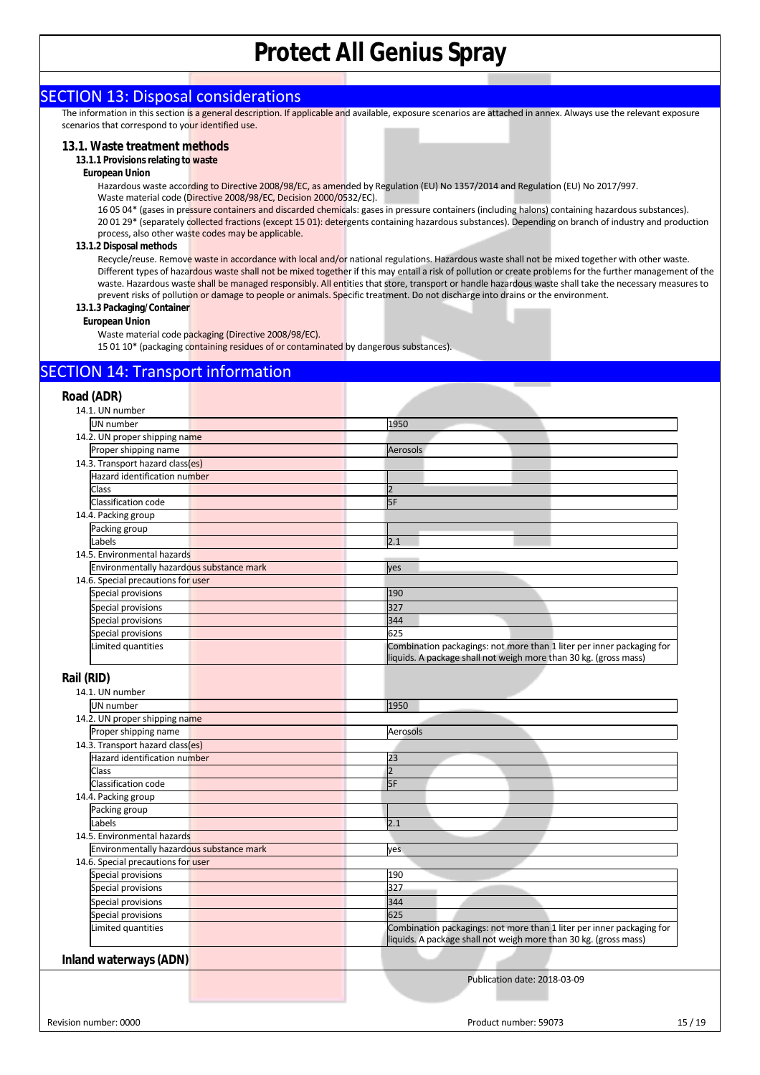### SECTION 13: Disposal considerations

The information in this section is a general description. If applicable and available, exposure scenarios are attached in annex. Always use the relevant exposure scenarios that correspond to your identified use.

#### **13.1. Waste treatment methods**

#### **13.1.1 Provisions relating to waste**

#### **European Union**

Hazardous waste according to Directive 2008/98/EC, as amended by Regulation (EU) No 1357/2014 and Regulation (EU) No 2017/997. Waste material code (Directive 2008/98/EC, Decision 2000/0532/EC).

16 05 04\* (gases in pressure containers and discarded chemicals: gases in pressure containers (including halons) containing hazardous substances). 20 01 29\* (separately collected fractions (except 15 01): detergents containing hazardous substances). Depending on branch of industry and production process, also other waste codes may be applicable.

#### **13.1.2 Disposal methods**

Recycle/reuse. Remove waste in accordance with local and/or national regulations. Hazardous waste shall not be mixed together with other waste. Different types of hazardous waste shall not be mixed together if this may entail a risk of pollution or create problems for the further management of the waste. Hazardous waste shall be managed responsibly. All entities that store, transport or handle hazardous waste shall take the necessary measures to prevent risks of pollution or damage to people or animals. Specific treatment. Do not discharge into drains or the environment.

#### **13.1.3 Packaging/Container**

#### **European Union**

Waste material code packaging (Directive 2008/98/EC).

15 01 10\* (packaging containing residues of or contaminated by dangerous substances).

### SECTION 14: Transport information

| Road (ADR)                               |                                                                                                                                           |
|------------------------------------------|-------------------------------------------------------------------------------------------------------------------------------------------|
| 14.1. UN number                          |                                                                                                                                           |
| <b>UN</b> number                         | 1950                                                                                                                                      |
| 14.2. UN proper shipping name            |                                                                                                                                           |
| Proper shipping name                     | Aerosols                                                                                                                                  |
| 14.3. Transport hazard class(es)         |                                                                                                                                           |
| Hazard identification number             |                                                                                                                                           |
| Class                                    | $\overline{2}$                                                                                                                            |
| Classification code                      | 5F                                                                                                                                        |
| 14.4. Packing group                      |                                                                                                                                           |
| Packing group                            |                                                                                                                                           |
| Labels                                   | 2.1                                                                                                                                       |
| 14.5. Environmental hazards              |                                                                                                                                           |
| Environmentally hazardous substance mark | yes                                                                                                                                       |
| 14.6. Special precautions for user       |                                                                                                                                           |
| Special provisions                       | 190                                                                                                                                       |
| Special provisions                       | 327                                                                                                                                       |
| Special provisions                       | 344                                                                                                                                       |
| Special provisions                       | 625                                                                                                                                       |
| Limited quantities                       | Combination packagings: not more than 1 liter per inner packaging for                                                                     |
|                                          | liquids. A package shall not weigh more than 30 kg. (gross mass)                                                                          |
|                                          |                                                                                                                                           |
| Rail (RID)                               |                                                                                                                                           |
| 14.1. UN number                          |                                                                                                                                           |
| UN number                                | 1950                                                                                                                                      |
| 14.2. UN proper shipping name            |                                                                                                                                           |
| Proper shipping name                     | Aerosols                                                                                                                                  |
| 14.3. Transport hazard class(es)         |                                                                                                                                           |
| Hazard identification number             | 23                                                                                                                                        |
| Class                                    | $\overline{2}$                                                                                                                            |
| Classification code                      | 5F                                                                                                                                        |
| 14.4. Packing group                      |                                                                                                                                           |
| Packing group                            |                                                                                                                                           |
| Labels                                   | 2.1                                                                                                                                       |
| 14.5. Environmental hazards              |                                                                                                                                           |
| Environmentally hazardous substance mark | yes                                                                                                                                       |
| 14.6. Special precautions for user       |                                                                                                                                           |
| Special provisions                       | 190                                                                                                                                       |
| Special provisions                       | 327                                                                                                                                       |
| Special provisions                       | 344                                                                                                                                       |
| Special provisions                       | 625                                                                                                                                       |
| Limited quantities                       | Combination packagings: not more than 1 liter per inner packaging for<br>liquids. A package shall not weigh more than 30 kg. (gross mass) |
| Inland waterways (ADN)                   |                                                                                                                                           |
|                                          | Publication date: 2018-03-09                                                                                                              |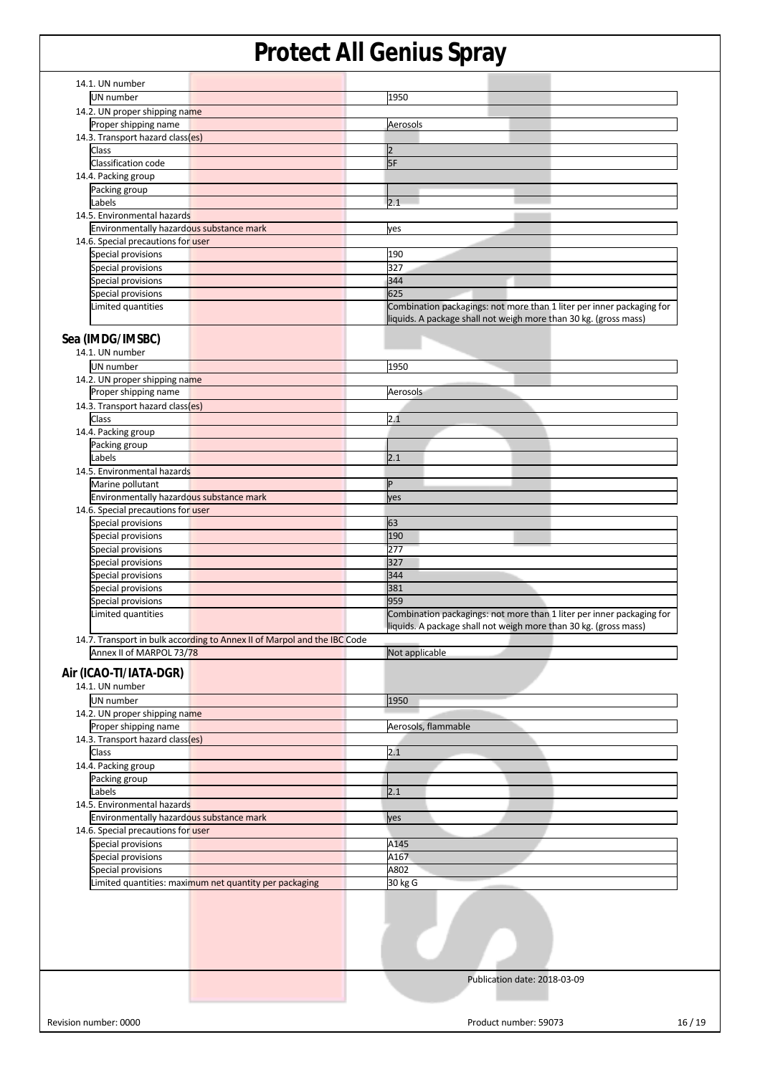| 14.1. UN number                                                          |                                                                       |
|--------------------------------------------------------------------------|-----------------------------------------------------------------------|
|                                                                          |                                                                       |
| UN number                                                                | 1950                                                                  |
| 14.2. UN proper shipping name                                            |                                                                       |
| Proper shipping name                                                     | Aerosols                                                              |
| 14.3. Transport hazard class(es)                                         |                                                                       |
|                                                                          |                                                                       |
| Class                                                                    | $\vert$ <sub>2</sub>                                                  |
| Classification code                                                      | 5F                                                                    |
| 14.4. Packing group                                                      |                                                                       |
|                                                                          |                                                                       |
| Packing group                                                            |                                                                       |
| Labels                                                                   | 2.1                                                                   |
| 14.5. Environmental hazards                                              |                                                                       |
| Environmentally hazardous substance mark                                 | yes                                                                   |
| 14.6. Special precautions for user                                       |                                                                       |
|                                                                          |                                                                       |
| Special provisions                                                       | 190                                                                   |
| Special provisions                                                       | 327                                                                   |
| Special provisions                                                       | 344                                                                   |
|                                                                          |                                                                       |
| Special provisions                                                       | 625                                                                   |
| Limited quantities                                                       | Combination packagings: not more than 1 liter per inner packaging for |
|                                                                          | liquids. A package shall not weigh more than 30 kg. (gross mass)      |
|                                                                          |                                                                       |
| Sea (IMDG/IMSBC)                                                         |                                                                       |
| 14.1. UN number                                                          |                                                                       |
|                                                                          |                                                                       |
| UN number                                                                | 1950                                                                  |
| 14.2. UN proper shipping name                                            |                                                                       |
| Proper shipping name                                                     | Aerosols                                                              |
|                                                                          |                                                                       |
| 14.3. Transport hazard class(es)                                         |                                                                       |
| Class                                                                    | 2.1                                                                   |
| 14.4. Packing group                                                      |                                                                       |
|                                                                          |                                                                       |
| Packing group                                                            |                                                                       |
| Labels                                                                   | 2.1                                                                   |
| 14.5. Environmental hazards                                              |                                                                       |
|                                                                          | P                                                                     |
| Marine pollutant                                                         |                                                                       |
| Environmentally hazardous substance mark                                 | yes                                                                   |
| 14.6. Special precautions for user                                       |                                                                       |
| Special provisions                                                       | 63                                                                    |
|                                                                          |                                                                       |
| Special provisions                                                       | 190                                                                   |
| Special provisions                                                       | 277                                                                   |
| Special provisions                                                       | 327                                                                   |
|                                                                          |                                                                       |
| Special provisions                                                       | 344                                                                   |
| Special provisions                                                       | 381                                                                   |
| Special provisions                                                       | 959                                                                   |
|                                                                          |                                                                       |
| Limited quantities                                                       | Combination packagings: not more than 1 liter per inner packaging for |
|                                                                          | liquids. A package shall not weigh more than 30 kg. (gross mass)      |
| 14.7. Transport in bulk according to Annex II of Marpol and the IBC Code |                                                                       |
| Annex II of MARPOL 73/78                                                 | Not applicable                                                        |
|                                                                          |                                                                       |
| Air (ICAO-TI/IATA-DGR)                                                   |                                                                       |
|                                                                          |                                                                       |
| 14.1. UN number                                                          |                                                                       |
| UN number                                                                | 1950                                                                  |
| 14.2. UN proper shipping name                                            |                                                                       |
|                                                                          |                                                                       |
| Proper shipping name                                                     | Aerosols, flammable                                                   |
| 14.3. Transport hazard class(es)                                         |                                                                       |
| Class                                                                    | 2.1                                                                   |
|                                                                          |                                                                       |
| 14.4. Packing group                                                      |                                                                       |
| Packing group                                                            |                                                                       |
| Labels                                                                   | 2.1                                                                   |
| 14.5. Environmental hazards                                              |                                                                       |
|                                                                          |                                                                       |
| Environmentally hazardous substance mark                                 | yes                                                                   |
| 14.6. Special precautions for user                                       |                                                                       |
| <b>Special provisions</b>                                                | A145                                                                  |
|                                                                          |                                                                       |
| Special provisions                                                       | A167                                                                  |
| Special provisions                                                       | A802                                                                  |
| Limited quantities: maximum net quantity per packaging                   | 30 kg G                                                               |
|                                                                          |                                                                       |
|                                                                          |                                                                       |
|                                                                          | Publication date: 2018-03-09                                          |
|                                                                          |                                                                       |
|                                                                          |                                                                       |
|                                                                          |                                                                       |
|                                                                          |                                                                       |
| Revision number: 0000                                                    | Product number: 59073<br>16/19                                        |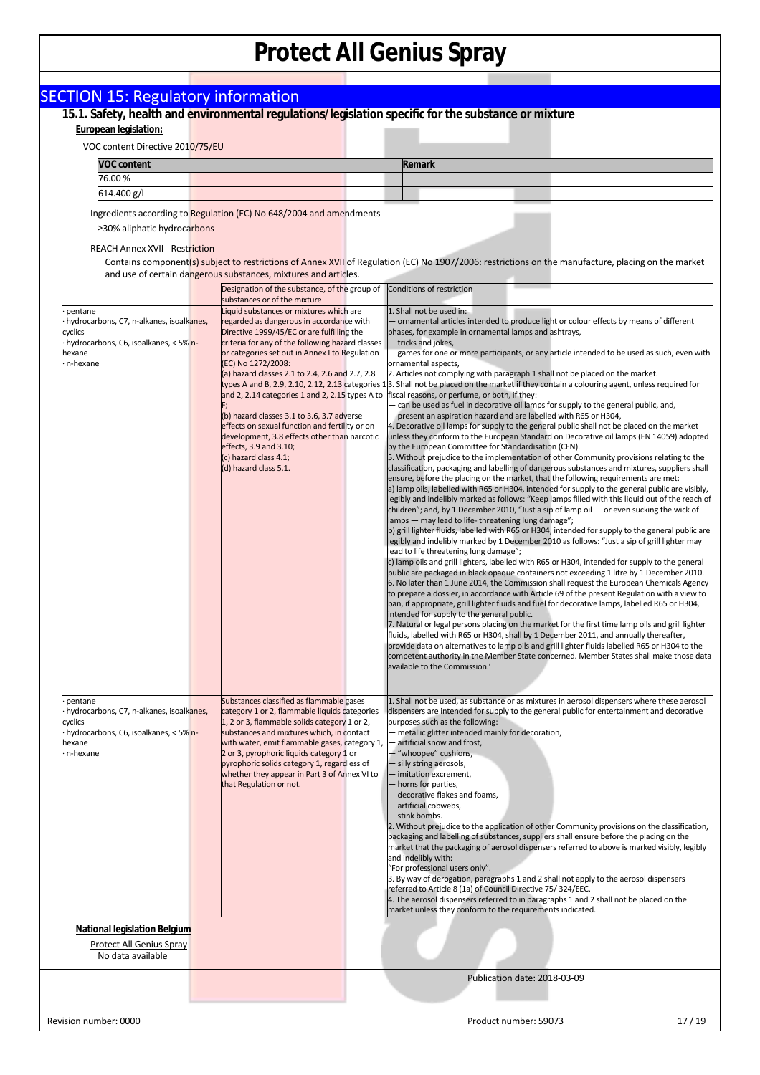|                                                                                                                               | 15.1. Safety, health and environmental regulations/legislation specific for the substance or mixture                                                                                                                                                                                                                               |                                                                                                                                                                                                                                                                                                                                                                                                                                                                                                                                                                                                                                                                                                                                                                                                                                                                                                                                                                                                            |
|-------------------------------------------------------------------------------------------------------------------------------|------------------------------------------------------------------------------------------------------------------------------------------------------------------------------------------------------------------------------------------------------------------------------------------------------------------------------------|------------------------------------------------------------------------------------------------------------------------------------------------------------------------------------------------------------------------------------------------------------------------------------------------------------------------------------------------------------------------------------------------------------------------------------------------------------------------------------------------------------------------------------------------------------------------------------------------------------------------------------------------------------------------------------------------------------------------------------------------------------------------------------------------------------------------------------------------------------------------------------------------------------------------------------------------------------------------------------------------------------|
| European legislation:                                                                                                         |                                                                                                                                                                                                                                                                                                                                    |                                                                                                                                                                                                                                                                                                                                                                                                                                                                                                                                                                                                                                                                                                                                                                                                                                                                                                                                                                                                            |
| VOC content Directive 2010/75/EU<br><b>VOC content</b>                                                                        |                                                                                                                                                                                                                                                                                                                                    | <b>Remark</b>                                                                                                                                                                                                                                                                                                                                                                                                                                                                                                                                                                                                                                                                                                                                                                                                                                                                                                                                                                                              |
| 76.00%                                                                                                                        |                                                                                                                                                                                                                                                                                                                                    |                                                                                                                                                                                                                                                                                                                                                                                                                                                                                                                                                                                                                                                                                                                                                                                                                                                                                                                                                                                                            |
| 614.400 g/l                                                                                                                   |                                                                                                                                                                                                                                                                                                                                    |                                                                                                                                                                                                                                                                                                                                                                                                                                                                                                                                                                                                                                                                                                                                                                                                                                                                                                                                                                                                            |
|                                                                                                                               | Ingredients according to Regulation (EC) No 648/2004 and amendments                                                                                                                                                                                                                                                                |                                                                                                                                                                                                                                                                                                                                                                                                                                                                                                                                                                                                                                                                                                                                                                                                                                                                                                                                                                                                            |
| ≥30% aliphatic hydrocarbons<br><b>REACH Annex XVII - Restriction</b>                                                          |                                                                                                                                                                                                                                                                                                                                    |                                                                                                                                                                                                                                                                                                                                                                                                                                                                                                                                                                                                                                                                                                                                                                                                                                                                                                                                                                                                            |
|                                                                                                                               | and use of certain dangerous substances, mixtures and articles.                                                                                                                                                                                                                                                                    | Contains component(s) subject to restrictions of Annex XVII of Regulation (EC) No 1907/2006: restrictions on the manufacture, placing on the market                                                                                                                                                                                                                                                                                                                                                                                                                                                                                                                                                                                                                                                                                                                                                                                                                                                        |
|                                                                                                                               | Designation of the substance, of the group of<br>substances or of the mixture                                                                                                                                                                                                                                                      | Conditions of restriction                                                                                                                                                                                                                                                                                                                                                                                                                                                                                                                                                                                                                                                                                                                                                                                                                                                                                                                                                                                  |
| pentane<br>hydrocarbons, C7, n-alkanes, isoalkanes,<br>cyclics<br>hydrocarbons, C6, isoalkanes, < 5% n-<br>aexane<br>n-hexane | Liquid substances or mixtures which are<br>regarded as dangerous in accordance with<br>Directive 1999/45/EC or are fulfilling the<br>criteria for any of the following hazard classes<br>or categories set out in Annex I to Regulation<br>(EC) No 1272/2008:                                                                      | 1. Shall not be used in:<br>- ornamental articles intended to produce light or colour effects by means of different<br>phases, for example in ornamental lamps and ashtrays,<br>tricks and jokes,<br>games for one or more participants, or any article intended to be used as such, even with<br>ornamental aspects,                                                                                                                                                                                                                                                                                                                                                                                                                                                                                                                                                                                                                                                                                      |
|                                                                                                                               | (a) hazard classes 2.1 to 2.4, 2.6 and 2.7, 2.8<br>and 2, 2.14 categories 1 and 2, 2.15 types A to<br>(b) hazard classes 3.1 to 3.6, 3.7 adverse<br>effects on sexual function and fertility or on<br>development, 3.8 effects other than narcotic<br>effects, 3.9 and 3.10;                                                       | 2. Articles not complying with paragraph 1 shall not be placed on the market.<br>types A and B, 2.9, 2.10, 2.12, 2.13 categories 13. Shall not be placed on the market if they contain a colouring agent, unless required for<br>fiscal reasons, or perfume, or both, if they:<br>- can be used as fuel in decorative oil lamps for supply to the general public, and,<br>present an aspiration hazard and are labelled with R65 or H304,<br>4. Decorative oil lamps for supply to the general public shall not be placed on the market<br>unless they conform to the European Standard on Decorative oil lamps (EN 14059) adopted<br>by the European Committee for Standardisation (CEN).                                                                                                                                                                                                                                                                                                                 |
|                                                                                                                               | (c) hazard class 4.1;<br>(d) hazard class 5.1.                                                                                                                                                                                                                                                                                     | 5. Without prejudice to the implementation of other Community provisions relating to the<br>classification, packaging and labelling of dangerous substances and mixtures, suppliers shall<br>ensure, before the placing on the market, that the following requirements are met:<br>a) lamp oils, labelled with R65 or H304, intended for supply to the general public are visibly,<br>legibly and indelibly marked as follows: "Keep lamps filled with this liquid out of the reach of<br>children"; and, by 1 December 2010, "Just a sip of lamp oil — or even sucking the wick of<br>lamps - may lead to life-threatening lung damage";<br>b) grill lighter fluids, labelled with R65 or H304, intended for supply to the general public are<br>legibly and indelibly marked by 1 December 2010 as follows: "Just a sip of grill lighter may                                                                                                                                                             |
|                                                                                                                               |                                                                                                                                                                                                                                                                                                                                    | lead to life threatening lung damage";<br>c) lamp oils and grill lighters, labelled with R65 or H304, intended for supply to the general<br>public are packaged in black opaque containers not exceeding 1 litre by 1 December 2010.<br>6. No later than 1 June 2014, the Commission shall request the European Chemicals Agency<br>to prepare a dossier, in accordance with Article 69 of the present Regulation with a view to<br>ban, if appropriate, grill lighter fluids and fuel for decorative lamps, labelled R65 or H304,<br>intended for supply to the general public.<br>7. Natural or legal persons placing on the market for the first time lamp oils and grill lighter<br>fluids, labelled with R65 or H304, shall by 1 December 2011, and annually thereafter,<br>provide data on alternatives to lamp oils and grill lighter fluids labelled R65 or H304 to the<br>competent authority in the Member State concerned. Member States shall make those data<br>available to the Commission.' |
|                                                                                                                               |                                                                                                                                                                                                                                                                                                                                    |                                                                                                                                                                                                                                                                                                                                                                                                                                                                                                                                                                                                                                                                                                                                                                                                                                                                                                                                                                                                            |
| pentane<br>hydrocarbons, C7, n-alkanes, isoalkanes,<br>cyclics<br>hydrocarbons, C6, isoalkanes, < 5% n-<br>aexane<br>n-hexane | Substances classified as flammable gases<br>category 1 or 2, flammable liquids categories<br>1, 2 or 3, flammable solids category 1 or 2,<br>substances and mixtures which, in contact<br>with water, emit flammable gases, category 1,<br>2 or 3, pyrophoric liquids category 1 or<br>pyrophoric solids category 1, regardless of | 1. Shall not be used, as substance or as mixtures in aerosol dispensers where these aerosol<br>dispensers are intended for supply to the general public for entertainment and decorative<br>purposes such as the following:<br>- metallic glitter intended mainly for decoration,<br>artificial snow and frost,<br>- "whoopee" cushions,<br>- silly string aerosols,                                                                                                                                                                                                                                                                                                                                                                                                                                                                                                                                                                                                                                       |
|                                                                                                                               | whether they appear in Part 3 of Annex VI to<br>that Regulation or not.                                                                                                                                                                                                                                                            | - imitation excrement,<br>- horns for parties,<br>- decorative flakes and foams,<br>- artificial cobwebs,<br>- stink bombs.<br>2. Without prejudice to the application of other Community provisions on the classification,                                                                                                                                                                                                                                                                                                                                                                                                                                                                                                                                                                                                                                                                                                                                                                                |
|                                                                                                                               |                                                                                                                                                                                                                                                                                                                                    | packaging and labelling of substances, suppliers shall ensure before the placing on the<br>market that the packaging of aerosol dispensers referred to above is marked visibly, legibly<br>and indelibly with:<br>"For professional users only".<br>3. By way of derogation, paragraphs 1 and 2 shall not apply to the aerosol dispensers<br>referred to Article 8 (1a) of Council Directive 75/324/EEC.<br>4. The aerosol dispensers referred to in paragraphs 1 and 2 shall not be placed on the<br>market unless they conform to the requirements indicated.                                                                                                                                                                                                                                                                                                                                                                                                                                            |
| <b>National legislation Belgium</b><br>Protect All Genius Spray<br>No data available                                          |                                                                                                                                                                                                                                                                                                                                    |                                                                                                                                                                                                                                                                                                                                                                                                                                                                                                                                                                                                                                                                                                                                                                                                                                                                                                                                                                                                            |
|                                                                                                                               |                                                                                                                                                                                                                                                                                                                                    |                                                                                                                                                                                                                                                                                                                                                                                                                                                                                                                                                                                                                                                                                                                                                                                                                                                                                                                                                                                                            |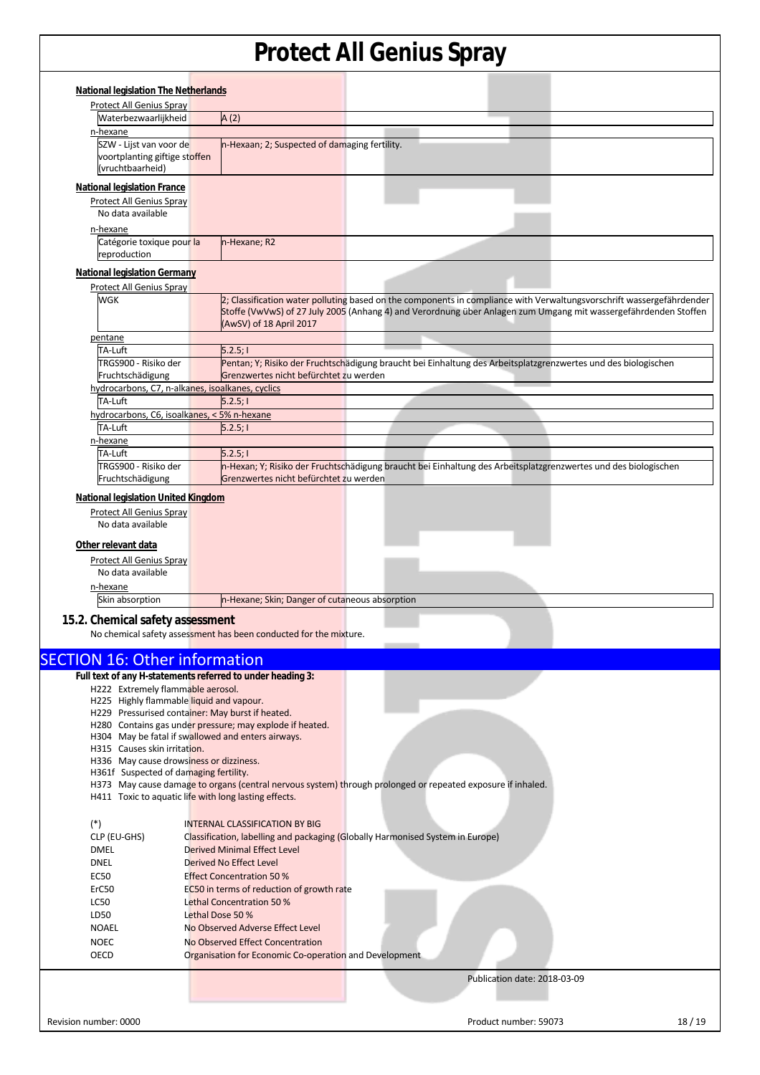| <b>Protect All Genius Spray</b>                                                                 | <b>National legislation The Netherlands</b> |                                                                   |                                                                                                                                                                                                                                          |
|-------------------------------------------------------------------------------------------------|---------------------------------------------|-------------------------------------------------------------------|------------------------------------------------------------------------------------------------------------------------------------------------------------------------------------------------------------------------------------------|
|                                                                                                 |                                             |                                                                   |                                                                                                                                                                                                                                          |
| Waterbezwaarlijkheid                                                                            |                                             | A(2)                                                              |                                                                                                                                                                                                                                          |
| n-hexane                                                                                        |                                             |                                                                   |                                                                                                                                                                                                                                          |
| SZW - Lijst van voor de<br>voortplanting giftige stoffen<br>(vruchtbaarheid)                    |                                             | n-Hexaan; 2; Suspected of damaging fertility.                     |                                                                                                                                                                                                                                          |
| <b>National legislation France</b>                                                              |                                             |                                                                   |                                                                                                                                                                                                                                          |
| <b>Protect All Genius Spray</b><br>No data available                                            |                                             |                                                                   |                                                                                                                                                                                                                                          |
| n-hexane<br>Catégorie toxique pour la<br>reproduction                                           |                                             | n-Hexane; R2                                                      |                                                                                                                                                                                                                                          |
| <b>National legislation Germany</b>                                                             |                                             |                                                                   |                                                                                                                                                                                                                                          |
| <b>Protect All Genius Spray</b><br><b>WGK</b>                                                   |                                             | (AwSV) of 18 April 2017                                           | 2; Classification water polluting based on the components in compliance with Verwaltungsvorschrift wassergefährdender<br>Stoffe (VwVwS) of 27 July 2005 (Anhang 4) and Verordnung über Anlagen zum Umgang mit wassergefährdenden Stoffen |
| pentane                                                                                         |                                             |                                                                   |                                                                                                                                                                                                                                          |
| TA-Luft                                                                                         |                                             | 5.2.5;                                                            |                                                                                                                                                                                                                                          |
| TRGS900 - Risiko der<br>Fruchtschädigung<br>hydrocarbons, C7, n-alkanes, isoalkanes, cyclics    |                                             | Grenzwertes nicht befürchtet zu werden                            | Pentan; Y; Risiko der Fruchtschädigung braucht bei Einhaltung des Arbeitsplatzgrenzwertes und des biologischen                                                                                                                           |
| TA-Luft                                                                                         |                                             | 5.2.5;                                                            |                                                                                                                                                                                                                                          |
| hydrocarbons, C6, isoalkanes, < 5% n-hexane                                                     |                                             |                                                                   |                                                                                                                                                                                                                                          |
| TA-Luft                                                                                         |                                             | 5.2.5;                                                            |                                                                                                                                                                                                                                          |
| n-hexane                                                                                        |                                             |                                                                   |                                                                                                                                                                                                                                          |
| TA-Luft                                                                                         |                                             | 5.2.5;                                                            |                                                                                                                                                                                                                                          |
| TRGS900 - Risiko der                                                                            |                                             |                                                                   | n-Hexan; Y; Risiko der Fruchtschädigung braucht bei Einhaltung des Arbeitsplatzgrenzwertes und des biologischen                                                                                                                          |
| Fruchtschädigung                                                                                |                                             | Grenzwertes nicht befürchtet zu werden                            |                                                                                                                                                                                                                                          |
| No data available<br>n-hexane                                                                   |                                             |                                                                   |                                                                                                                                                                                                                                          |
|                                                                                                 |                                             | n-Hexane; Skin; Danger of cutaneous absorption                    |                                                                                                                                                                                                                                          |
| Skin absorption                                                                                 |                                             |                                                                   |                                                                                                                                                                                                                                          |
|                                                                                                 |                                             | No chemical safety assessment has been conducted for the mixture. |                                                                                                                                                                                                                                          |
|                                                                                                 |                                             |                                                                   |                                                                                                                                                                                                                                          |
| 15.2. Chemical safety assessment<br><b>SECTION 16: Other information</b>                        |                                             |                                                                   |                                                                                                                                                                                                                                          |
| Full text of any H-statements referred to under heading 3:<br>H222 Extremely flammable aerosol. |                                             |                                                                   |                                                                                                                                                                                                                                          |
| H225 Highly flammable liquid and vapour.                                                        |                                             |                                                                   |                                                                                                                                                                                                                                          |
| H229 Pressurised container: May burst if heated.                                                |                                             |                                                                   |                                                                                                                                                                                                                                          |
| H304 May be fatal if swallowed and enters airways.                                              |                                             | H280 Contains gas under pressure; may explode if heated.          |                                                                                                                                                                                                                                          |
| H315 Causes skin irritation.                                                                    |                                             |                                                                   |                                                                                                                                                                                                                                          |
| H336 May cause drowsiness or dizziness.                                                         |                                             |                                                                   |                                                                                                                                                                                                                                          |
| H361f Suspected of damaging fertility.<br>H411 Toxic to aquatic life with long lasting effects. |                                             |                                                                   | H373 May cause damage to organs (central nervous system) through prolonged or repeated exposure if inhaled.                                                                                                                              |
|                                                                                                 |                                             |                                                                   |                                                                                                                                                                                                                                          |
| $(*)$                                                                                           |                                             | <b>INTERNAL CLASSIFICATION BY BIG</b>                             |                                                                                                                                                                                                                                          |
| CLP (EU-GHS)                                                                                    |                                             |                                                                   | Classification, labelling and packaging (Globally Harmonised System in Europe)                                                                                                                                                           |
| DMEL<br><b>DNEL</b>                                                                             |                                             | <b>Derived Minimal Effect Level</b><br>Derived No Effect Level    |                                                                                                                                                                                                                                          |
| <b>EC50</b>                                                                                     |                                             | <b>Effect Concentration 50%</b>                                   |                                                                                                                                                                                                                                          |
| ErC50                                                                                           |                                             | EC50 in terms of reduction of growth rate                         |                                                                                                                                                                                                                                          |
| LC50                                                                                            |                                             | Lethal Concentration 50 %                                         |                                                                                                                                                                                                                                          |
| LD50                                                                                            | Lethal Dose 50 %                            |                                                                   |                                                                                                                                                                                                                                          |
| <b>NOAEL</b>                                                                                    |                                             | No Observed Adverse Effect Level                                  |                                                                                                                                                                                                                                          |
| <b>NOEC</b>                                                                                     |                                             | No Observed Effect Concentration                                  |                                                                                                                                                                                                                                          |
| OECD                                                                                            |                                             | Organisation for Economic Co-operation and Development            |                                                                                                                                                                                                                                          |
|                                                                                                 |                                             |                                                                   | Publication date: 2018-03-09                                                                                                                                                                                                             |